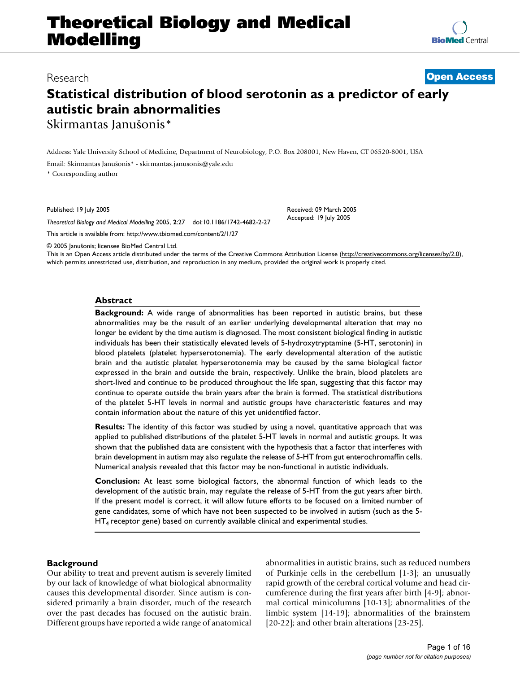# **Theoretical Biology and Medical Modelling**

# Research **[Open Access](http://www.biomedcentral.com/info/about/charter/)**

# **Statistical distribution of blood serotonin as a predictor of early autistic brain abnormalities** Skirmantas Janušonis\*

Address: Yale University School of Medicine, Department of Neurobiology, P.O. Box 208001, New Haven, CT 06520-8001, USA

Email: Skirmantas Janušonis\* - skirmantas.janusonis@yale.edu

\* Corresponding author

Published: 19 July 2005

*Theoretical Biology and Medical Modelling* 2005, **2**:27 doi:10.1186/1742-4682-2-27

[This article is available from: http://www.tbiomed.com/content/2/1/27](http://www.tbiomed.com/content/2/1/27)

© 2005 Janušonis; licensee BioMed Central Ltd.

This is an Open Access article distributed under the terms of the Creative Commons Attribution License [\(http://creativecommons.org/licenses/by/2.0\)](http://creativecommons.org/licenses/by/2.0), which permits unrestricted use, distribution, and reproduction in any medium, provided the original work is properly cited.

Received: 09 March 2005 Accepted: 19 July 2005

#### **Abstract**

**Background:** A wide range of abnormalities has been reported in autistic brains, but these abnormalities may be the result of an earlier underlying developmental alteration that may no longer be evident by the time autism is diagnosed. The most consistent biological finding in autistic individuals has been their statistically elevated levels of 5-hydroxytryptamine (5-HT, serotonin) in blood platelets (platelet hyperserotonemia). The early developmental alteration of the autistic brain and the autistic platelet hyperserotonemia may be caused by the same biological factor expressed in the brain and outside the brain, respectively. Unlike the brain, blood platelets are short-lived and continue to be produced throughout the life span, suggesting that this factor may continue to operate outside the brain years after the brain is formed. The statistical distributions of the platelet 5-HT levels in normal and autistic groups have characteristic features and may contain information about the nature of this yet unidentified factor.

**Results:** The identity of this factor was studied by using a novel, quantitative approach that was applied to published distributions of the platelet 5-HT levels in normal and autistic groups. It was shown that the published data are consistent with the hypothesis that a factor that interferes with brain development in autism may also regulate the release of 5-HT from gut enterochromaffin cells. Numerical analysis revealed that this factor may be non-functional in autistic individuals.

**Conclusion:** At least some biological factors, the abnormal function of which leads to the development of the autistic brain, may regulate the release of 5-HT from the gut years after birth. If the present model is correct, it will allow future efforts to be focused on a limited number of gene candidates, some of which have not been suspected to be involved in autism (such as the 5-  $HT<sub>4</sub>$  receptor gene) based on currently available clinical and experimental studies.

#### **Background**

Our ability to treat and prevent autism is severely limited by our lack of knowledge of what biological abnormality causes this developmental disorder. Since autism is considered primarily a brain disorder, much of the research over the past decades has focused on the autistic brain. Different groups have reported a wide range of anatomical

abnormalities in autistic brains, such as reduced numbers of Purkinje cells in the cerebellum [1-3]; an unusually rapid growth of the cerebral cortical volume and head circumference during the first years after birth [4-9]; abnormal cortical minicolumns [10-13]; abnormalities of the limbic system [14-19]; abnormalities of the brainstem [20-22]; and other brain alterations [23-25].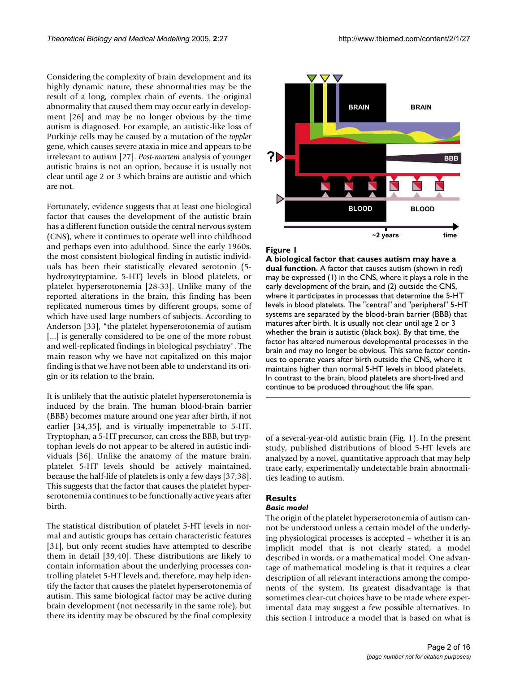Considering the complexity of brain development and its highly dynamic nature, these abnormalities may be the result of a long, complex chain of events. The original abnormality that caused them may occur early in development [26] and may be no longer obvious by the time autism is diagnosed. For example, an autistic-like loss of Purkinje cells may be caused by a mutation of the *toppler* gene, which causes severe ataxia in mice and appears to be irrelevant to autism [27]. *Post-mortem* analysis of younger autistic brains is not an option, because it is usually not clear until age 2 or 3 which brains are autistic and which are not.

Fortunately, evidence suggests that at least one biological factor that causes the development of the autistic brain has a different function outside the central nervous system (CNS), where it continues to operate well into childhood and perhaps even into adulthood. Since the early 1960s, the most consistent biological finding in autistic individuals has been their statistically elevated serotonin (5 hydroxytryptamine, 5-HT) levels in blood platelets, or platelet hyperserotonemia [28-33]. Unlike many of the reported alterations in the brain, this finding has been replicated numerous times by different groups, some of which have used large numbers of subjects. According to Anderson [33], "the platelet hyperserotonemia of autism [...] is generally considered to be one of the more robust and well-replicated findings in biological psychiatry". The main reason why we have not capitalized on this major finding is that we have not been able to understand its origin or its relation to the brain.

It is unlikely that the autistic platelet hyperserotonemia is induced by the brain. The human blood-brain barrier (BBB) becomes mature around one year after birth, if not earlier [34,35], and is virtually impenetrable to 5-HT. Tryptophan, a 5-HT precursor, can cross the BBB, but tryptophan levels do not appear to be altered in autistic individuals [36]. Unlike the anatomy of the mature brain, platelet 5-HT levels should be actively maintained, because the half-life of platelets is only a few days [37,38]. This suggests that the factor that causes the platelet hyperserotonemia continues to be functionally active years after birth.

The statistical distribution of platelet 5-HT levels in normal and autistic groups has certain characteristic features [31], but only recent studies have attempted to describe them in detail [39,40]. These distributions are likely to contain information about the underlying processes controlling platelet 5-HT levels and, therefore, may help identify the factor that causes the platelet hyperserotonemia of autism. This same biological factor may be active during brain development (not necessarily in the same role), but there its identity may be obscured by the final complexity



#### **Figure 1**

**A biological factor that causes autism may have a dual function**. A factor that causes autism (shown in red) may be expressed (1) in the CNS, where it plays a role in the early development of the brain, and (2) outside the CNS, where it participates in processes that determine the 5-HT levels in blood platelets. The "central" and "peripheral" 5-HT systems are separated by the blood-brain barrier (BBB) that matures after birth. It is usually not clear until age 2 or 3 whether the brain is autistic (black box). By that time, the factor has altered numerous developmental processes in the brain and may no longer be obvious. This same factor continues to operate years after birth outside the CNS, where it maintains higher than normal 5-HT levels in blood platelets. In contrast to the brain, blood platelets are short-lived and continue to be produced throughout the life span.

of a several-year-old autistic brain (Fig. 1). In the present study, published distributions of blood 5-HT levels are analyzed by a novel, quantitative approach that may help trace early, experimentally undetectable brain abnormalities leading to autism.

#### **Results**

#### *Basic model*

The origin of the platelet hyperserotonemia of autism cannot be understood unless a certain model of the underlying physiological processes is accepted – whether it is an implicit model that is not clearly stated, a model described in words, or a mathematical model. One advantage of mathematical modeling is that it requires a clear description of all relevant interactions among the components of the system. Its greatest disadvantage is that sometimes clear-cut choices have to be made where experimental data may suggest a few possible alternatives. In this section I introduce a model that is based on what is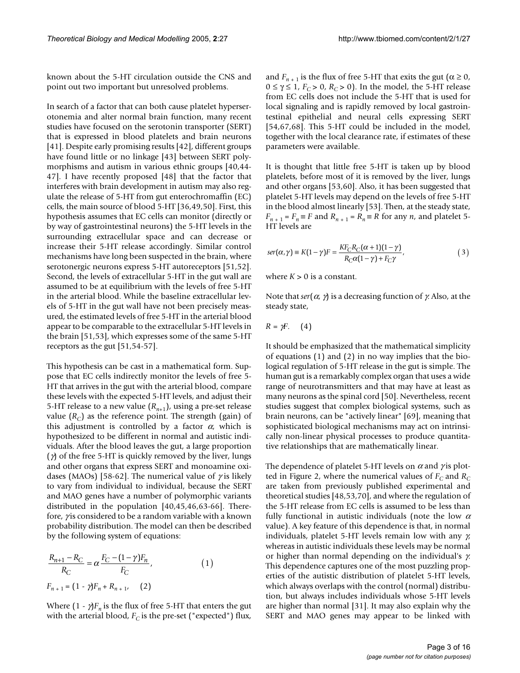known about the 5-HT circulation outside the CNS and point out two important but unresolved problems.

In search of a factor that can both cause platelet hyperserotonemia and alter normal brain function, many recent studies have focused on the serotonin transporter (SERT) that is expressed in blood platelets and brain neurons [41]. Despite early promising results [42], different groups have found little or no linkage [43] between SERT polymorphisms and autism in various ethnic groups [40,44- 47]. I have recently proposed [48] that the factor that interferes with brain development in autism may also regulate the release of 5-HT from gut enterochromaffin (EC) cells, the main source of blood 5-HT [36,49,50]. First, this hypothesis assumes that EC cells can monitor (directly or by way of gastrointestinal neurons) the 5-HT levels in the surrounding extracellular space and can decrease or increase their 5-HT release accordingly. Similar control mechanisms have long been suspected in the brain, where serotonergic neurons express 5-HT autoreceptors [51,52]. Second, the levels of extracellular 5-HT in the gut wall are assumed to be at equilibrium with the levels of free 5-HT in the arterial blood. While the baseline extracellular levels of 5-HT in the gut wall have not been precisely measured, the estimated levels of free 5-HT in the arterial blood appear to be comparable to the extracellular 5-HT levels in the brain [51,53], which expresses some of the same 5-HT receptors as the gut [51,54-57].

This hypothesis can be cast in a mathematical form. Suppose that EC cells indirectly monitor the levels of free 5- HT that arrives in the gut with the arterial blood, compare these levels with the expected 5-HT levels, and adjust their 5-HT release to a new value  $(R_{n+1})$ , using a pre-set release value  $(R_C)$  as the reference point. The strength (gain) of this adjustment is controlled by a factor  $\alpha$ , which is hypothesized to be different in normal and autistic individuals. After the blood leaves the gut, a large proportion ( $γ$ ) of the free 5-HT is quickly removed by the liver, lungs and other organs that express SERT and monoamine oxidases (MAOs) [58-62]. The numerical value of  $\gamma$  is likely to vary from individual to individual, because the SERT and MAO genes have a number of polymorphic variants distributed in the population [40,45,46,63-66]. Therefore, γ is considered to be a random variable with a known probability distribution. The model can then be described by the following system of equations:

$$
\frac{R_{n+1} - R_C}{R_C} = \alpha \frac{F_C - (1 - \gamma)F_n}{F_C},
$$
\n
$$
F_{n+1} = (1 - \gamma)F_n + R_{n+1},
$$
\n(2)

Where  $(1 - \gamma)F_n$  is the flux of free 5-HT that enters the gut with the arterial blood,  $F_C$  is the pre-set ("expected") flux,

and  $F_{n+1}$  is the flux of free 5-HT that exits the gut ( $\alpha \ge 0$ ,  $0 \le \gamma \le 1$ ,  $F_C > 0$ ,  $R_C > 0$ ). In the model, the 5-HT release from EC cells does not include the 5-HT that is used for local signaling and is rapidly removed by local gastrointestinal epithelial and neural cells expressing SERT [54,67,68]. This 5-HT could be included in the model, together with the local clearance rate, if estimates of these parameters were available.

It is thought that little free 5-HT is taken up by blood platelets, before most of it is removed by the liver, lungs and other organs [53,60]. Also, it has been suggested that platelet 5-HT levels may depend on the levels of free 5-HT in the blood almost linearly [53]. Then, at the steady state, *F<sub>n + 1</sub>* = *F<sub>n</sub>* ≡ *F* and  $R_{n+1}$  =  $R_n$  ≡ *R* for any *n*, and platelet 5-HT levels are

$$
ser(\alpha, \gamma) \equiv K(1-\gamma)F = \frac{KF_C R_C(\alpha+1)(1-\gamma)}{R_C\alpha(1-\gamma) + F_C\gamma},
$$
\n(3)

where  $K > 0$  is a constant.

Note that *ser*(α, γ) is a decreasing function of γ. Also, at the steady state,

$$
R = \gamma F. \qquad (4)
$$

It should be emphasized that the mathematical simplicity of equations (1) and (2) in no way implies that the biological regulation of 5-HT release in the gut is simple. The human gut is a remarkably complex organ that uses a wide range of neurotransmitters and that may have at least as many neurons as the spinal cord [50]. Nevertheless, recent studies suggest that complex biological systems, such as brain neurons, can be "actively linear" [69], meaning that sophisticated biological mechanisms may act on intrinsically non-linear physical processes to produce quantitative relationships that are mathematically linear.

The dependence of platelet 5-HT levels on  $\alpha$  and  $\gamma$  is plotted in Figure 2, where the numerical values of  $F_C$  and  $R_C$ are taken from previously published experimental and theoretical studies [48,53,70], and where the regulation of the 5-HT release from EC cells is assumed to be less than fully functional in autistic individuals (note the low  $\alpha$ value). A key feature of this dependence is that, in normal individuals, platelet 5-HT levels remain low with any  $\gamma$ whereas in autistic individuals these levels may be normal or higher than normal depending on the individual's γ. This dependence captures one of the most puzzling properties of the autistic distribution of platelet 5-HT levels, which always overlaps with the control (normal) distribution, but always includes individuals whose 5-HT levels are higher than normal [31]. It may also explain why the SERT and MAO genes may appear to be linked with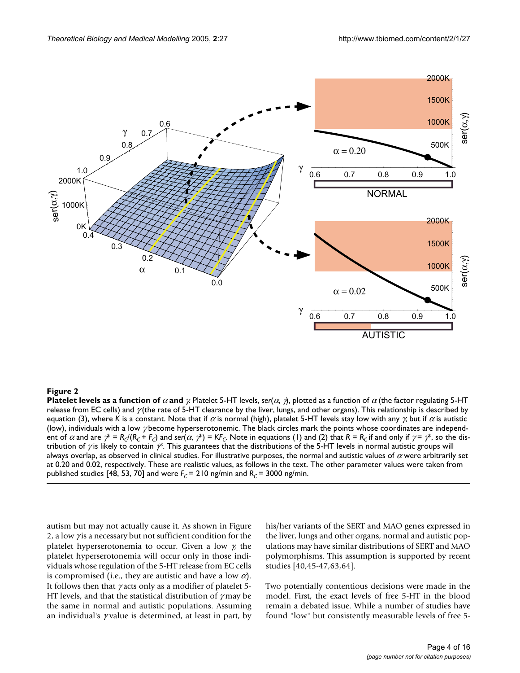

#### **Figure 2**

**Platelet levels as a function of**  $\alpha$  **and**  $\gamma$  **Platelet 5-HT levels, ser(** $\alpha$ **,**  $\gamma$ **), plotted as a function of**  $\alpha$  **(the factor regulating 5-HT** release from EC cells) and  $\gamma$  (the rate of 5-HT clearance by the liver, lungs, and other organs). This relationship is described by equation (3), where K is a constant. Note that if  $\alpha$  is normal (high), platelet 5-HT levels stay low with any  $\chi$  but if  $\alpha$  is autistic (low), individuals with a low  $\gamma$ become hyperserotonemic. The black circles mark the points whose coordinates are independent of  $\alpha$  and are  $\gamma^* = R_C/(R_C + F_C)$  and  $\text{ser}(\alpha, \gamma^*) = KF_C$ . Note in equations (1) and (2) that  $R = R_C$  if and only if  $\gamma = \gamma^*$ , so the distribution of  $\gamma$  is likely to contain  $\gamma^*$ . This guarantees that the distributions of the 5-HT levels in normal autistic groups will always overlap, as observed in clinical studies. For illustrative purposes, the normal and autistic values of  $\alpha$  were arbitrarily set at 0.20 and 0.02, respectively. These are realistic values, as follows in the text. The other parameter values were taken from published studies [48, 53, 70] and were  $F_c$  = 210 ng/min and  $R_c$  = 3000 ng/min.

autism but may not actually cause it. As shown in Figure 2, a low  $\gamma$  is a necessary but not sufficient condition for the platelet hyperserotonemia to occur. Given a low  $\gamma$  the platelet hyperserotonemia will occur only in those individuals whose regulation of the 5-HT release from EC cells is compromised (i.e., they are autistic and have a low  $\alpha$ ). It follows then that  $\gamma$  acts only as a modifier of platelet 5-HT levels, and that the statistical distribution of  $\gamma$  may be the same in normal and autistic populations. Assuming an individual's  $\gamma$  value is determined, at least in part, by

his/her variants of the SERT and MAO genes expressed in the liver, lungs and other organs, normal and autistic populations may have similar distributions of SERT and MAO polymorphisms. This assumption is supported by recent studies [40,45-47,63,64].

Two potentially contentious decisions were made in the model. First, the exact levels of free 5-HT in the blood remain a debated issue. While a number of studies have found "low" but consistently measurable levels of free 5-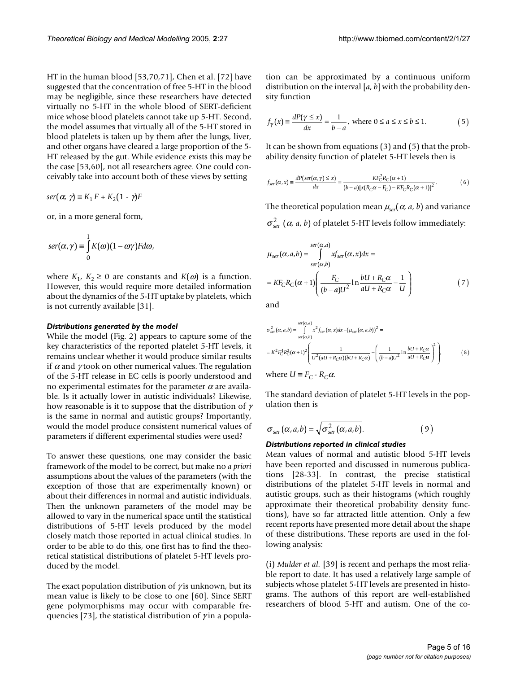HT in the human blood [53,70,71], Chen et al. [72] have suggested that the concentration of free 5-HT in the blood may be negligible, since these researchers have detected virtually no 5-HT in the whole blood of SERT-deficient mice whose blood platelets cannot take up 5-HT. Second, the model assumes that virtually all of the 5-HT stored in blood platelets is taken up by them after the lungs, liver, and other organs have cleared a large proportion of the 5- HT released by the gut. While evidence exists this may be the case [53,60], not all researchers agree. One could conceivably take into account both of these views by setting

$$
ser(\alpha, \gamma) \equiv K_1 F + K_2 (1 - \gamma) F
$$

or, in a more general form,

$$
ser(\alpha, \gamma) = \int_{0}^{1} K(\omega)(1 - \omega \gamma) F d\omega,
$$

where  $K_1$ ,  $K_2 \ge 0$  are constants and  $K(\omega)$  is a function. However, this would require more detailed information about the dynamics of the 5-HT uptake by platelets, which is not currently available [31].

#### *Distributions generated by the model*

While the model (Fig. 2) appears to capture some of the key characteristics of the reported platelet 5-HT levels, it remains unclear whether it would produce similar results if  $\alpha$  and  $\gamma$  took on other numerical values. The regulation of the 5-HT release in EC cells is poorly understood and no experimental estimates for the parameter  $\alpha$  are available. Is it actually lower in autistic individuals? Likewise, how reasonable is it to suppose that the distribution of  $\gamma$ is the same in normal and autistic groups? Importantly, would the model produce consistent numerical values of parameters if different experimental studies were used?

To answer these questions, one may consider the basic framework of the model to be correct, but make no *a priori* assumptions about the values of the parameters (with the exception of those that are experimentally known) or about their differences in normal and autistic individuals. Then the unknown parameters of the model may be allowed to vary in the numerical space until the statistical distributions of 5-HT levels produced by the model closely match those reported in actual clinical studies. In order to be able to do this, one first has to find the theoretical statistical distributions of platelet 5-HT levels produced by the model.

The exact population distribution of  $\gamma$  is unknown, but its mean value is likely to be close to one [60]. Since SERT gene polymorphisms may occur with comparable frequencies [73], the statistical distribution of  $\gamma$  in a population can be approximated by a continuous uniform distribution on the interval [*a*, *b*] with the probability density function

$$
f_{\gamma}(x) \equiv \frac{dP(\gamma \le x)}{dx} = \frac{1}{b-a}, \text{ where } 0 \le a \le x \le b \le 1. \tag{5}
$$

It can be shown from equations (3) and (5) that the probability density function of platelet 5-HT levels then is

$$
f_{ser}(\alpha, x) = \frac{dP(ser(\alpha, \gamma) \le x)}{dx} = \frac{KF_C^2 R_C(\alpha + 1)}{(b - a)[x(R_C\alpha - F_C) - K_C R_C(\alpha + 1)]^2}.
$$
 (6)

The theoretical population mean  $\mu_{\text{ser}}(\alpha, a, b)$  and variance  $\sigma_{\textit{ser}}^2$  ( $\alpha$ ,  $a$ ,  $b$ ) of platelet 5-HT levels follow immediately:

$$
\mu_{ser}(\alpha, a, b) = \int_{ser(\alpha, b)}^{ser(\alpha, a)} x f_{ser}(\alpha, x) dx =
$$
  
=  $KE_C R_C(\alpha + 1) \left( \frac{F_C}{(b - a)U^2} \ln \frac{bU + R_C \alpha}{aU + R_C \alpha} - \frac{1}{U} \right)$  (7)

and

$$
\sigma_{ser}^{2}(\alpha, a, b) = \int_{ser(\alpha, b)}^{ser(\alpha, a)} x^{2} f_{ser}(\alpha, x) dx - (\mu_{ser}(\alpha, a, b))^{2} =
$$
  

$$
= K^{2} F_{C}^{4} R_{C}^{2}(\alpha + 1)^{2} \left( \frac{1}{U^{2}(aU + R_{C}\alpha)(bU + R_{C}\alpha)} - \left( \frac{1}{(b-a)U^{2}} \ln \frac{bU + R_{C}\alpha}{aU + R_{C}\alpha} \right)^{2} \right)
$$
(8)

where 
$$
U \equiv F_C - R_C \alpha
$$
.

The standard deviation of platelet 5-HT levels in the population then is

$$
\sigma_{ser}(\alpha, a, b) = \sqrt{\sigma_{ser}^2(\alpha, a, b)}.
$$
 (9)

#### *Distributions reported in clinical studies*

Mean values of normal and autistic blood 5-HT levels have been reported and discussed in numerous publications [28-33]. In contrast, the precise statistical distributions of the platelet 5-HT levels in normal and autistic groups, such as their histograms (which roughly approximate their theoretical probability density functions), have so far attracted little attention. Only a few recent reports have presented more detail about the shape of these distributions. These reports are used in the following analysis:

(i) *Mulder et al.* [39] is recent and perhaps the most reliable report to date. It has used a relatively large sample of subjects whose platelet 5-HT levels are presented in histograms. The authors of this report are well-established researchers of blood 5-HT and autism. One of the co-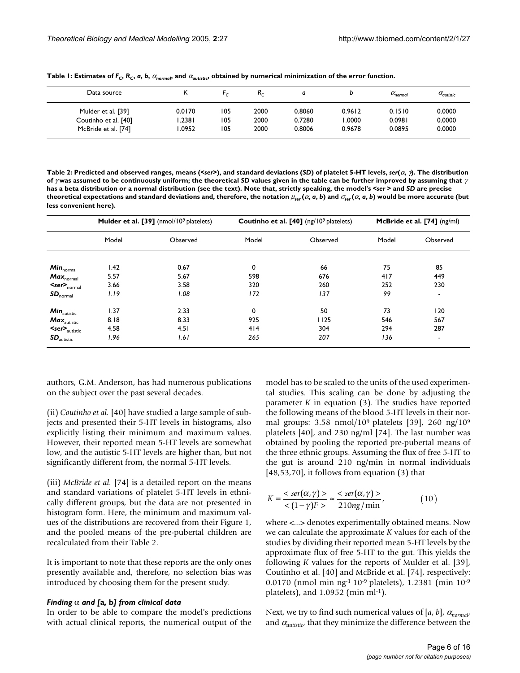| Data source          |        |     | R,   | a      |        | $\alpha_{normal}$ | $\alpha_{\text{autistic}}$ |
|----------------------|--------|-----|------|--------|--------|-------------------|----------------------------|
| Mulder et al. [39]   | 0.0170 | 105 | 2000 | 0.8060 | 0.9612 | 0.1510            | 0.0000                     |
| Coutinho et al. [40] | . 2381 | 105 | 2000 | 0.7280 | .0000  | 0.0981            | 0.0000                     |
| McBride et al. [74]  | .0952  | 105 | 2000 | 0.8006 | 0.9678 | 0.0895            | 0.0000                     |

**Table 1: Estimates of**  $F_C$ **,**  $R_C$ **,**  $a$ **,**  $b$ **,**  $\alpha_{normal}$ **, and**  $\alpha_{autistic}$ **, obtained by numerical minimization of the error function.** 

**Table 2: Predicted and observed ranges, means (<***ser***>), and standard deviations (***SD***) of platelet 5-HT levels,** *ser***(**α**,** γ**). The distribution of** γ **was assumed to be continuously uniform; the theoretical** *SD* **values given in the table can be further improved by assuming that** γ **has a beta distribution or a normal distribution (see the text). Note that, strictly speaking, the model's <***ser* **> and** *SD* **are precise**  theoretical expectations and standard deviations and, therefore, the notation  $\mu_{\text{ser}}(\alpha, a, b)$  and  $\sigma_{\text{ser}}(\alpha, a, b)$  would be more accurate (but **less convenient here).**

|                                                 | Mulder et al. [39] (nmol/109 platelets) |          |       | <b>Coutinho et al. [40]</b> (ng/10 <sup>9</sup> platelets) | McBride et al. [74] (ng/ml) |                |
|-------------------------------------------------|-----------------------------------------|----------|-------|------------------------------------------------------------|-----------------------------|----------------|
|                                                 | Model                                   | Observed | Model | Observed                                                   | Model                       | Observed       |
| $Min_{normal}$                                  | 1.42                                    | 0.67     | 0     | 66                                                         | 75                          | 85             |
| $\mathcal{M}$ a $\mathsf{x}_{\mathsf{normal}}$  | 5.57                                    | 5.67     | 598   | 676                                                        | 417                         | 449            |
| $\texttt{<}$ ser $\texttt{>}_{\sf normal}$      | 3.66                                    | 3.58     | 320   | 260                                                        | 252                         | 230            |
| $SD$ <sub>normal</sub>                          | 1.19                                    | 1.08     | 172   | 137                                                        | 99                          |                |
| $Min_{\text{autistic}}$                         | 1.37                                    | 2.33     | 0     | 50                                                         | 73                          | 120            |
| $\textit{Max}_{\textit{autistic}}$              | 8.18                                    | 8.33     | 925   | l I 25                                                     | 546                         | 567            |
| $\texttt{<}$ ser $\texttt{>}_{\text{autistic}}$ | 4.58                                    | 4.51     | 414   | 304                                                        | 294                         | 287            |
| $SD_{\text{autistic}}$                          | 1.96                                    | 1.61     | 265   | 207                                                        | 136                         | $\blacksquare$ |

authors, G.M. Anderson, has had numerous publications on the subject over the past several decades.

(ii) *Coutinho et al.* [40] have studied a large sample of subjects and presented their 5-HT levels in histograms, also explicitly listing their minimum and maximum values. However, their reported mean 5-HT levels are somewhat low, and the autistic 5-HT levels are higher than, but not significantly different from, the normal 5-HT levels.

(iii) *McBride et al.* [74] is a detailed report on the means and standard variations of platelet 5-HT levels in ethnically different groups, but the data are not presented in histogram form. Here, the minimum and maximum values of the distributions are recovered from their Figure 1, and the pooled means of the pre-pubertal children are recalculated from their Table 2.

It is important to note that these reports are the only ones presently available and, therefore, no selection bias was introduced by choosing them for the present study.

#### *Finding* α *and [***a***,* **b***] from clinical data*

In order to be able to compare the model's predictions with actual clinical reports, the numerical output of the

model has to be scaled to the units of the used experimental studies. This scaling can be done by adjusting the parameter *K* in equation (3). The studies have reported the following means of the blood 5-HT levels in their normal groups: 3.58 nmol/109 platelets [39], 260 ng/109 platelets [40], and 230 ng/ml [74]. The last number was obtained by pooling the reported pre-pubertal means of the three ethnic groups. Assuming the flux of free 5-HT to the gut is around 210 ng/min in normal individuals [48,53,70], it follows from equation (3) that

$$
K = \frac{<\text{ser}(\alpha, \gamma)>}{<\frac{1-\gamma}{F}>} \approx \frac{<\text{ser}(\alpha, \gamma)>}{210ng/min},\tag{10}
$$

where <...> denotes experimentally obtained means. Now we can calculate the approximate *K* values for each of the studies by dividing their reported mean 5-HT levels by the approximate flux of free 5-HT to the gut. This yields the following *K* values for the reports of Mulder et al. [39], Coutinho et al. [40] and McBride et al. [74], respectively: 0.0170 (nmol min ng-1 10-9 platelets), 1.2381 (min 10-9 platelets), and 1.0952 (min ml-1).

Next, we try to find such numerical values of [a, b],  $\alpha_{normal}$ , and  $\alpha_{\textit{autistic'}}$  that they minimize the difference between the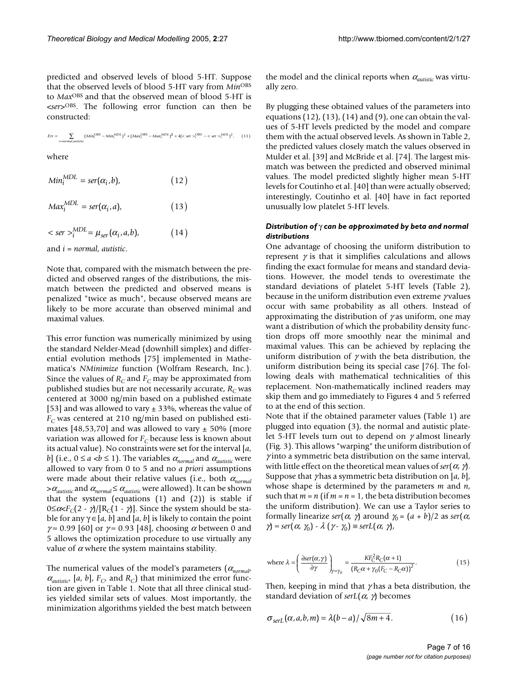predicted and observed levels of blood 5-HT. Suppose that the observed levels of blood 5-HT vary from *Min*OBS to *Max*OBS and that the observed mean of blood 5-HT is <*ser*>OBS. The following error function can then be constructed:

$$
Err = \sum_{i = normal, autistic} (Min_{i_1}^{OBS} - Min_{i_1}^{MDL})^2 + (Max_{i_1}^{OBS} - Max_{i_1}^{MDL})^2 + 4(_{i}^{OBS} - _{i}^{MDL})^2, \quad \ \ (11)
$$

where

$$
Min_i^{MDL} = ser(\alpha_i, b),
$$
\n
$$
(12)
$$
\n
$$
Max_i^{MDL} = ser(\alpha_i, a),
$$
\n
$$
(is)
$$
\n
$$
(is)
$$
\n
$$
(is)
$$
\n
$$
(is)
$$
\n
$$
(is)
$$
\n
$$
(is)
$$
\n
$$
(is)
$$
\n
$$
(is)
$$
\n
$$
(is)
$$
\n
$$
(is)
$$
\n
$$
(is)
$$
\n
$$
(is)
$$
\n
$$
(is)
$$
\n
$$
(is)
$$
\n
$$
(is)
$$
\n
$$
(is)
$$
\n
$$
(is)
$$
\n
$$
(is)
$$
\n
$$
(is)
$$
\n
$$
(is)
$$
\n
$$
(is)
$$
\n
$$
(is)
$$
\n
$$
(is)
$$
\n
$$
(is)
$$
\n
$$
(is)
$$
\n
$$
(is)
$$
\n
$$
(is)
$$
\n
$$
(is)
$$
\n
$$
(is)
$$
\n
$$
(is)
$$
\n
$$
(is)
$$
\n
$$
(is)
$$
\n
$$
(is)
$$
\n
$$
(is)
$$
\n
$$
(is)
$$
\n
$$
(is)
$$
\n
$$
(is)
$$
\n
$$
(is)
$$
\n
$$
(is)
$$
\n
$$
(is)
$$
\n
$$
(is)
$$
\n
$$
(
$$

and *i* = *normal*, *autistic*.

Note that, compared with the mismatch between the predicted and observed ranges of the distributions, the mismatch between the predicted and observed means is penalized "twice as much", because observed means are likely to be more accurate than observed minimal and maximal values.

This error function was numerically minimized by using the standard Nelder-Mead (downhill simplex) and differential evolution methods [75] implemented in Mathematica's *NMinimize* function (Wolfram Research, Inc.). Since the values of  $R_C$  and  $F_C$  may be approximated from published studies but are not necessarily accurate, *R<sub>C</sub>* was centered at 3000 ng/min based on a published estimate [53] and was allowed to vary  $\pm$  33%, whereas the value of  $F_C$  was centered at 210 ng/min based on published estimates [48,53,70] and was allowed to vary  $\pm$  50% (more variation was allowed for  $F_C$  because less is known about its actual value). No constraints were set for the interval [*a*, *b*] (i.e.,  $0 \le a < b \le 1$ ). The variables  $\alpha_{normal}$  and  $\alpha_{autistic}$  were allowed to vary from 0 to 5 and no *a priori* assumptions were made about their relative values (i.e., both  $\alpha_{normal}$ )  $>\!\alpha_{antisitic}$  and  $\alpha_{normal} \!\leq\! \alpha_{autistic}$  were allowed). It can be shown that the system (equations  $(1)$  and  $(2)$ ) is stable if  $0 \leq \alpha \lt F_C(2 - \gamma)/[R_C(1 - \gamma)]$ . Since the system should be stable for any  $\gamma \in [a, b]$  and  $[a, b]$  is likely to contain the point  $\gamma \approx 0.99$  [60] or  $\gamma \approx 0.93$  [48], choosing  $\alpha$  between 0 and 5 allows the optimization procedure to use virtually any value of  $\alpha$  where the system maintains stability.

The numerical values of the model's parameters ( $\alpha_{normal}$ ,  $\alpha_{\text{autistic'}}$  [a, b],  $F_C$ , and  $R_C$ ) that minimized the error function are given in Table 1. Note that all three clinical studies yielded similar sets of values. Most importantly, the minimization algorithms yielded the best match between

the model and the clinical reports when  $\alpha_{\textit{autistic}}$  was virtually zero.

By plugging these obtained values of the parameters into equations  $(12)$ ,  $(13)$ ,  $(14)$  and  $(9)$ , one can obtain the values of 5-HT levels predicted by the model and compare them with the actual observed levels. As shown in Table 2, the predicted values closely match the values observed in Mulder et al. [39] and McBride et al. [74]. The largest mismatch was between the predicted and observed minimal values. The model predicted slightly higher mean 5-HT levels for Coutinho et al. [40] than were actually observed; interestingly, Coutinho et al. [40] have in fact reported unusually low platelet 5-HT levels.

#### *Distribution of* γ *can be approximated by beta and normal distributions*

One advantage of choosing the uniform distribution to represent  $\gamma$  is that it simplifies calculations and allows finding the exact formulae for means and standard deviations. However, the model tends to overestimate the standard deviations of platelet 5-HT levels (Table 2), because in the uniform distribution even extreme γ values occur with same probability as all others. Instead of approximating the distribution of  $\gamma$  as uniform, one may want a distribution of which the probability density function drops off more smoothly near the minimal and maximal values. This can be achieved by replacing the uniform distribution of  $\gamma$  with the beta distribution, the uniform distribution being its special case [76]. The following deals with mathematical technicalities of this replacement. Non-mathematically inclined readers may skip them and go immediately to Figures 4 and 5 referred to at the end of this section.

Note that if the obtained parameter values (Table 1) are plugged into equation (3), the normal and autistic platelet 5-HT levels turn out to depend on  $\gamma$  almost linearly (Fig. 3). This allows "warping" the uniform distribution of  $\gamma$  into a symmetric beta distribution on the same interval, with little effect on the theoretical mean values of  $ser(\alpha, \gamma)$ . Suppose that  $\gamma$  has a symmetric beta distribution on [a, b], whose shape is determined by the parameters *m* and *n*, such that  $m = n$  (if  $m = n = 1$ , the beta distribution becomes the uniform distribution). We can use a Taylor series to formally linearize *ser*( $\alpha$ ,  $\gamma$ ) around  $\gamma_0 = (a + b)/2$  as *ser*( $\alpha$ ,  $\gamma$   $\approx$  *ser*( $\alpha$ ,  $\gamma$ <sub>0</sub>) -  $\lambda$  ( $\gamma$ - $\gamma$ <sub>0</sub>)  $\equiv$  *serL*( $\alpha$ ,  $\gamma$ ),

where 
$$
\lambda = \left(\frac{\partial \text{ser}(\alpha, \gamma)}{\partial \gamma}\right)_{\gamma = \gamma_0} = \frac{KF_C^2 R_C(\alpha + 1)}{(R_C \alpha + \gamma_0 (F_C - R_C \alpha))^2}.
$$
 (15)

Then, keeping in mind that  $\gamma$  has a beta distribution, the standard deviation of *serL*(α, γ) becomes

$$
\sigma_{\text{serL}}(\alpha, a, b, m) = \lambda (b - a) / \sqrt{8m + 4}.
$$
 (16)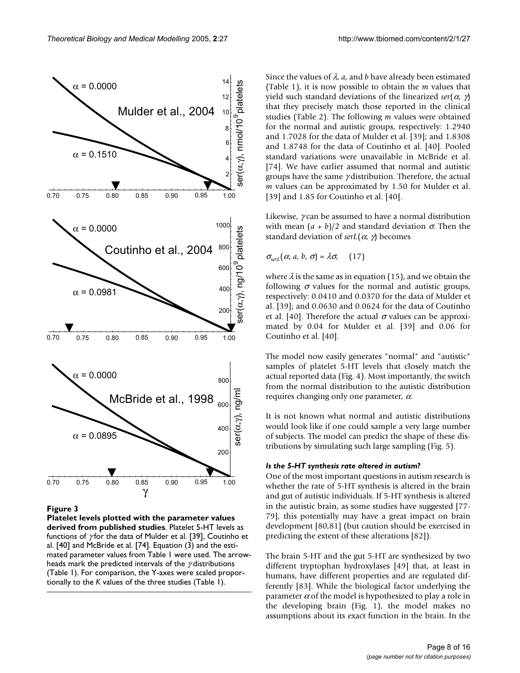

#### **Figure 3**

**Platelet levels plotted with the parameter values derived from published studies**. Platelet 5-HT levels as functions of  $\gamma$  for the data of Mulder et al. [39], Coutinho et al. [40] and McBride et al. [74]. Equation (3) and the estimated parameter values from Table 1 were used. The arrowheads mark the predicted intervals of the  $\gamma$  distributions (Table 1). For comparison, the Y-axes were scaled proportionally to the *K* values of the three studies (Table 1).

Since the values of λ, *a*, and *b* have already been estimated (Table 1), it is now possible to obtain the *m* values that yield such standard deviations of the linearized  $ser(\alpha, \gamma)$ that they precisely match those reported in the clinical studies (Table 2). The following *m* values were obtained for the normal and autistic groups, respectively: 1.2940 and 1.7028 for the data of Mulder et al. [39]; and 1.8308 and 1.8748 for the data of Coutinho et al. [40]. Pooled standard variations were unavailable in McBride et al. [74]. We have earlier assumed that normal and autistic groups have the same  $\gamma$  distribution. Therefore, the actual *m* values can be approximated by 1.50 for Mulder et al. [39] and 1.85 for Coutinho et al. [40].

Likewise,  $\gamma$  can be assumed to have a normal distribution with mean  $(a + b)/2$  and standard deviation  $\sigma$ . Then the standard deviation of *serL*(α, γ) becomes

$$
\sigma_{\text{serL}}(\alpha, a, b, \sigma) = \lambda \sigma, \quad (17)
$$

where  $\lambda$  is the same as in equation (15), and we obtain the following  $\sigma$  values for the normal and autistic groups, respectively: 0.0410 and 0.0370 for the data of Mulder et al. [39]; and 0.0630 and 0.0624 for the data of Coutinho et al. [40]. Therefore the actual  $\sigma$  values can be approximated by 0.04 for Mulder et al. [39] and 0.06 for Coutinho et al. [40].

The model now easily generates "normal" and "autistic" samples of platelet 5-HT levels that closely match the actual reported data (Fig. 4). Most importantly, the switch from the normal distribution to the autistic distribution requires changing only one parameter,  $\alpha$ .

It is not known what normal and autistic distributions would look like if one could sample a very large number of subjects. The model can predict the shape of these distributions by simulating such large sampling (Fig. 5).

#### *Is the 5-HT synthesis rate altered in autism?*

One of the most important questions in autism research is whether the rate of 5-HT synthesis is altered in the brain and gut of autistic individuals. If 5-HT synthesis is altered in the autistic brain, as some studies have suggested [77- 79], this potentially may have a great impact on brain development [80,81] (but caution should be exercised in predicting the extent of these alterations [82]).

The brain 5-HT and the gut 5-HT are synthesized by two different tryptophan hydroxylases [49] that, at least in humans, have different properties and are regulated differently [83]. While the biological factor underlying the parameter  $\alpha$  of the model is hypothesized to play a role in the developing brain (Fig. 1), the model makes no assumptions about its exact function in the brain. In the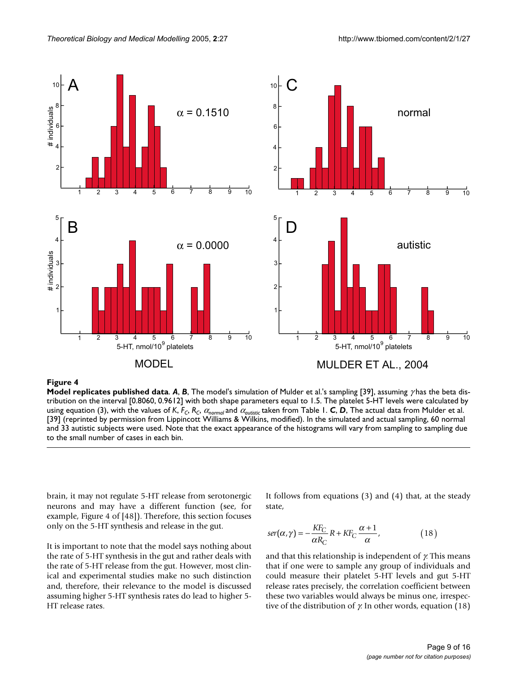

#### **Figure 4**

**Model replicates published data. A, B,** The model's simulation of Mulder et al.'s sampling [39], assuming γ has the beta distribution on the interval [0.8060, 0.9612] with both shape parameters equal to 1.5. The platelet 5-HT levels were calculated by using equation (3), with the values of *K*, *F<sub>C</sub>*, *R<sub>C</sub>*, α<sub>normal</sub> and α<sub>autistic</sub> taken from Table 1. **C**, **D**, The actual data from Mulder et al. [39] (reprinted by permission from Lippincott Williams & Wilkins, modified). In the simulated and actual sampling, 60 normal and 33 autistic subjects were used. Note that the exact appearance of the histograms will vary from sampling to sampling due to the small number of cases in each bin.

brain, it may not regulate 5-HT release from serotonergic neurons and may have a different function (see, for example, Figure 4 of [48]). Therefore, this section focuses only on the 5-HT synthesis and release in the gut.

It is important to note that the model says nothing about the rate of 5-HT synthesis in the gut and rather deals with the rate of 5-HT release from the gut. However, most clinical and experimental studies make no such distinction and, therefore, their relevance to the model is discussed assuming higher 5-HT synthesis rates do lead to higher 5- HT release rates.

It follows from equations (3) and (4) that, at the steady state,

$$
ser(\alpha, \gamma) = -\frac{KF_C}{\alpha R_C}R + KF_C \frac{\alpha + 1}{\alpha},
$$
\n(18)

and that this relationship is independent of  $\gamma$ . This means that if one were to sample any group of individuals and could measure their platelet 5-HT levels and gut 5-HT release rates precisely, the correlation coefficient between these two variables would always be minus one, irrespective of the distribution of  $\gamma$ . In other words, equation (18)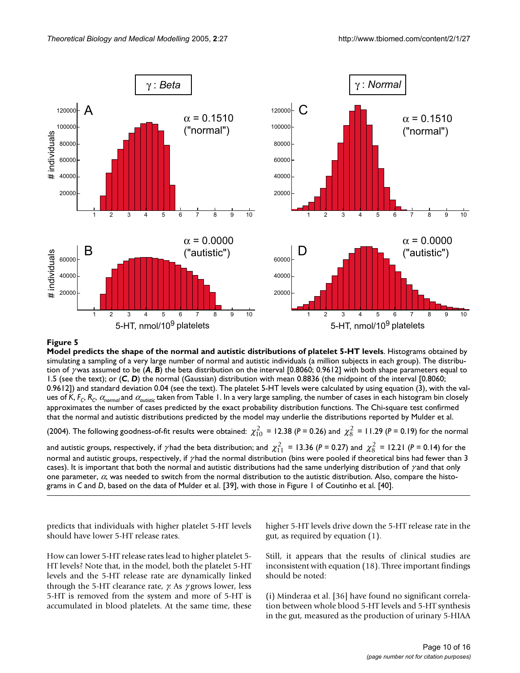

#### Model predicts the shape of the normal and au **Figure 5** tistic distributions of platelet 5-HT levels

**Model predicts the shape of the normal and autistic distributions of platelet 5-HT levels**. Histograms obtained by simulating a sampling of a very large number of normal and autistic individuals (a million subjects in each group). The distribution of γ was assumed to be (*A*, *B*) the beta distribution on the interval [0.8060; 0.9612] with both shape parameters equal to 1.5 (see the text); or (*C*, *D*) the normal (Gaussian) distribution with mean 0.8836 (the midpoint of the interval [0.8060; 0.9612]) and standard deviation 0.04 (see the text). The platelet 5-HT levels were calculated by using equation (3), with the values of *K*, *F<sub>C</sub>*, *R<sub>C</sub>*, α<sub>normal</sub> and α<sub>autistic</sub> taken from Table 1. In a very large sampling, the number of cases in each histogram bin closely approximates the number of cases predicted by the exact probability distribution functions. The Chi-square test confirmed that the normal and autistic distributions predicted by the model may underlie the distributions reported by Mulder et al.

(2004). The following goodness-of-fit results were obtained:  $\chi^2_{10}$  = 12.38 (*P* = 0.26) and  $\chi^2_8$  = 11.29 (*P* = 0.19) for the normal

and autistic groups, respectively, if  $\gamma$ had the beta distribution; and  $\chi^2_{11}$  = 13.36 (*P* = 0.27) and  $\chi^2_8$  = 12.21 (*P* = 0.14) for the normal and autistic groups, respectively, if  $\gamma$ had the normal distribution (bins were pooled if theoretical bins had fewer than 3 cases). It is important that both the normal and autistic distributions had the same underlying distribution of  $\gamma$  and that only one parameter,  $\alpha$ , was needed to switch from the normal distribution to the autistic distribution. Also, compare the histo-

predicts that individuals with higher platelet 5-HT levels should have lower 5-HT release rates.

How can lower 5-HT release rates lead to higher platelet 5- HT levels? Note that, in the model, both the platelet 5-HT levels and the 5-HT release rate are dynamically linked through the 5-HT clearance rate,  $\gamma$ . As  $\gamma$  grows lower, less 5-HT is removed from the system and more of 5-HT is accumulated in blood platelets. At the same time, these

higher 5-HT levels drive down the 5-HT release rate in the gut, as required by equation (1).

Still, it appears that the results of clinical studies are inconsistent with equation (18). Three important findings should be noted:

(i) Minderaa et al. [36] have found no significant correlation between whole blood 5-HT levels and 5-HT synthesis in the gut, measured as the production of urinary 5-HIAA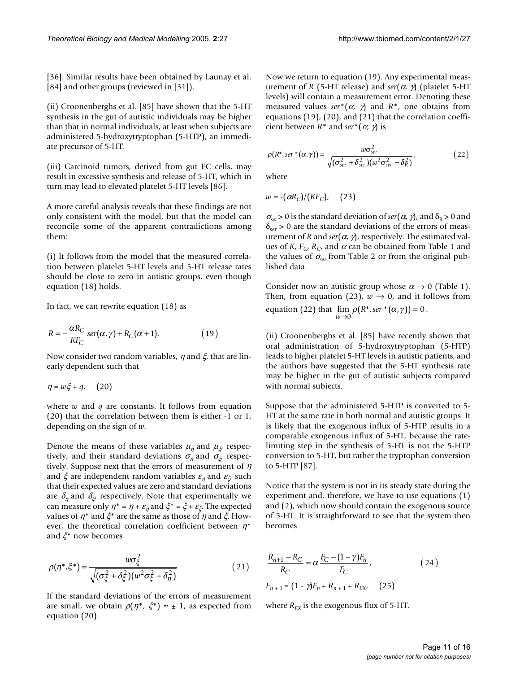[36]. Similar results have been obtained by Launay et al. [84] and other groups (reviewed in [31]).

(ii) Croonenberghs et al. [85] have shown that the 5-HT synthesis in the gut of autistic individuals may be higher than that in normal individuals, at least when subjects are administered 5-hydroxytryptophan (5-HTP), an immediate precursor of 5-HT.

(iii) Carcinoid tumors, derived from gut EC cells, may result in excessive synthesis and release of 5-HT, which in turn may lead to elevated platelet 5-HT levels [86].

A more careful analysis reveals that these findings are not only consistent with the model, but that the model can reconcile some of the apparent contradictions among them:

(i) It follows from the model that the measured correlation between platelet 5-HT levels and 5-HT release rates should be close to zero in autistic groups, even though equation (18) holds.

In fact, we can rewrite equation (18) as

$$
R = -\frac{\alpha R_C}{K F_C} \text{ser}(\alpha, \gamma) + R_C(\alpha + 1). \tag{19}
$$

Now consider two random variables,  $\eta$  and  $\xi$ , that are linearly dependent such that

 $\eta = w\xi + q$ , (20)

where *w* and *q* are constants. It follows from equation (20) that the correlation between them is either -1 or 1, depending on the sign of *w*.

Denote the means of these variables  $\mu_{\eta}$  and  $\mu_{\xi}$ , respectively, and their standard deviations  $\sigma_n$  and  $\sigma_{\xi}$ , respectively. Suppose next that the errors of measurement of  $\eta$ and  $\xi$  are independent random variables  $\varepsilon_n$  and  $\varepsilon_{\xi}$ , such that their expected values are zero and standard deviations are  $\delta_n$  and  $\delta_{\xi}$  respectively. Note that experimentally we can measure only  $\eta^* = \eta + \varepsilon_\eta$  and  $\xi^* = \xi + \varepsilon_\xi$ . The expected values of  $\eta^*$  and  $\xi^*$  are the same as those of  $\eta$  and  $\xi$ . However, the theoretical correlation coefficient between  $\eta^*$ and  $\xi^*$  now becomes

$$
\rho(\eta^*, \xi^*) = \frac{w\sigma_{\xi}^2}{\sqrt{(\sigma_{\xi}^2 + \delta_{\xi}^2)(w^2\sigma_{\xi}^2 + \delta_{\eta}^2)}}
$$
(21)

If the standard deviations of the errors of measurement are small, we obtain  $\rho(\eta^*, \xi^*) \approx \pm 1$ , as expected from equation (20).

Now we return to equation (19). Any experimental measurement of *R* (5-HT release) and *ser*( $\alpha$ ,  $\gamma$ ) (platelet 5-HT levels) will contain a measurement error. Denoting these measured values *ser*<sup>\*</sup>( $\alpha$ ,  $\gamma$ ) and  $R$ <sup>\*</sup>, one obtains from equations (19), (20), and (21) that the correlation coefficient between  $R^*$  and *ser*<sup>\*</sup>( $\alpha$ ,  $\gamma$ ) is

$$
\rho(R^*, ser^*(\alpha, \gamma)) = \frac{w\sigma_{ser}^2}{\sqrt{(\sigma_{ser}^2 + \delta_{ser}^2)(w^2 \sigma_{ser}^2 + \delta_R^2)}},
$$
\n(22)

where

$$
w = -(\alpha R_C)/(K F_C), \quad (23)
$$

 $\sigma_{\text{ser}}$  > 0 is the standard deviation of *ser*( $\alpha$ ,  $\gamma$ ), and  $\delta_{\text{R}}$  > 0 and  $\delta_{\text{ser}} > 0$  are the standard deviations of the errors of measurement of *R* and *ser*( $\alpha$ ,  $\gamma$ ), respectively. The estimated values of *K*,  $F_C$ ,  $R_C$ , and  $\alpha$  can be obtained from Table 1 and the values of  $\sigma_{\text{ser}}$  from Table 2 or from the original published data.

Consider now an autistic group whose  $\alpha \rightarrow 0$  (Table 1). Then, from equation (23),  $w \rightarrow 0$ , and it follows from equation (22) that  $\lim_{w\to 0} \rho(R^*, s e r^*(\alpha, \gamma)) = 0$ .  $\lim_{\Omega} \rho(R^*, s e r^*(\alpha, \gamma)) = 0$ 

(ii) Croonenberghs et al. [85] have recently shown that oral administration of 5-hydroxytryptophan (5-HTP) leads to higher platelet 5-HT levels in autistic patients, and the authors have suggested that the 5-HT synthesis rate may be higher in the gut of autistic subjects compared with normal subjects.

Suppose that the administered 5-HTP is converted to 5- HT at the same rate in both normal and autistic groups. It is likely that the exogenous influx of 5-HTP results in a comparable exogenous influx of 5-HT, because the ratelimiting step in the synthesis of 5-HT is not the 5-HTP conversion to 5-HT, but rather the tryptophan conversion to 5-HTP [87].

Notice that the system is not in its steady state during the experiment and, therefore, we have to use equations (1) and (2), which now should contain the exogenous source of 5-HT. It is straightforward to see that the system then becomes

$$
\frac{R_{n+1} - R_C}{R_C} = \alpha \frac{F_C - (1 - \gamma)F_n}{F_C},
$$
\n
$$
F_{n+1} = (1 - \gamma)F_n + R_{n+1} + R_{EX},
$$
\n(25)

where  $R_{EX}$  is the exogenous flux of 5-HT.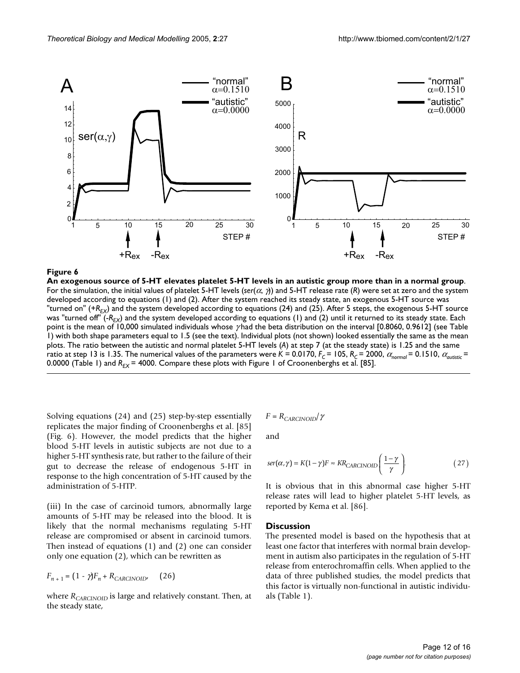

#### An exogenous source of 5-HT elevates platelet 5-HT leve **Figure 6** ls in an autistic group more than in a normal group

**An exogenous source of 5-HT elevates platelet 5-HT levels in an autistic group more than in a normal group**. For the simulation, the initial values of platelet 5-HT levels (*ser*(α, γ)) and 5-HT release rate (*R*) were set at zero and the system developed according to equations (1) and (2). After the system reached its steady state, an exogenous 5-HT source was "turned on"  $(+R_{EX})$  and the system developed according to equations (24) and (25). After 5 steps, the exogenous 5-HT source was "turned off" (-*R<sub>FX</sub>*) and the system developed according to equations (1) and (2) until it returned to its steady state. Each point is the mean of 10,000 simulated individuals whose  $\gamma$  had the beta distribution on the interval [0.8060, 0.9612] (see Table 1) with both shape parameters equal to 1.5 (see the text). Individual plots (not shown) looked essentially the same as the mean plots. The ratio between the autistic and normal platelet 5-HT levels (*A*) at step 7 (at the steady state) is 1.25 and the same ratio at step 13 is 1.35. The numerical values of the parameters were  $K = 0.0170$ ,  $F_c = 105$ ,  $R_c = 2000$ ,  $\alpha_{normal} = 0.1510$ ,  $\alpha_{autistic} =$ 0.0000 (Table 1) and *R<sub>EX</sub>* = 4000. Compare these plots with Figure 1 of Croonenberghs et al. [85].

Solving equations (24) and (25) step-by-step essentially replicates the major finding of Croonenberghs et al. [85] (Fig. 6). However, the model predicts that the higher blood 5-HT levels in autistic subjects are not due to a higher 5-HT synthesis rate, but rather to the failure of their gut to decrease the release of endogenous 5-HT in response to the high concentration of 5-HT caused by the administration of 5-HTP.

(iii) In the case of carcinoid tumors, abnormally large amounts of 5-HT may be released into the blood. It is likely that the normal mechanisms regulating 5-HT release are compromised or absent in carcinoid tumors. Then instead of equations (1) and (2) one can consider only one equation (2), which can be rewritten as

 $F_{n+1} = (1 - \gamma)F_n + R_{CARTNOID}$  (26)

where *R<sub>CARCINOID</sub>* is large and relatively constant. Then, at the steady state,

$$
F = R_{CARCHN OID} / \gamma
$$

and

$$
ser(\alpha, \gamma) = K(1 - \gamma)F \approx KR_{CARCHN OID}\left(\frac{1 - \gamma}{\gamma}\right).
$$
 (27)

It is obvious that in this abnormal case higher 5-HT release rates will lead to higher platelet 5-HT levels, as reported by Kema et al. [86].

#### **Discussion**

The presented model is based on the hypothesis that at least one factor that interferes with normal brain development in autism also participates in the regulation of 5-HT release from enterochromaffin cells. When applied to the data of three published studies, the model predicts that this factor is virtually non-functional in autistic individuals (Table 1).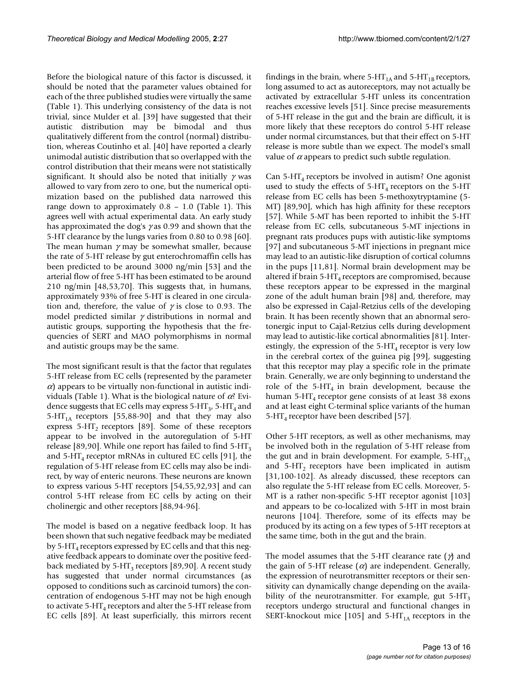Before the biological nature of this factor is discussed, it should be noted that the parameter values obtained for each of the three published studies were virtually the same (Table 1). This underlying consistency of the data is not trivial, since Mulder et al. [39] have suggested that their autistic distribution may be bimodal and thus qualitatively different from the control (normal) distribution, whereas Coutinho et al. [40] have reported a clearly unimodal autistic distribution that so overlapped with the control distribution that their means were not statistically significant. It should also be noted that initially  $\gamma$  was allowed to vary from zero to one, but the numerical optimization based on the published data narrowed this range down to approximately 0.8 – 1.0 (Table 1). This agrees well with actual experimental data. An early study has approximated the dog's  $\gamma$  as 0.99 and shown that the 5-HT clearance by the lungs varies from 0.80 to 0.98 [60]. The mean human  $\gamma$  may be somewhat smaller, because the rate of 5-HT release by gut enterochromaffin cells has been predicted to be around 3000 ng/min [53] and the arterial flow of free 5-HT has been estimated to be around 210 ng/min [48,53,70]. This suggests that, in humans, approximately 93% of free 5-HT is cleared in one circulation and, therefore, the value of  $\gamma$  is close to 0.93. The model predicted similar  $\gamma$  distributions in normal and autistic groups, supporting the hypothesis that the frequencies of SERT and MAO polymorphisms in normal and autistic groups may be the same.

The most significant result is that the factor that regulates 5-HT release from EC cells (represented by the parameter  $\alpha$ ) appears to be virtually non-functional in autistic individuals (Table 1). What is the biological nature of  $\alpha$ ? Evidence suggests that EC cells may express 5-HT<sub>3</sub>, 5-HT<sub>4</sub> and 5-HT<sub>1A</sub> receptors [55,88-90] and that they may also express  $5-HT<sub>2</sub>$  receptors [89]. Some of these receptors appear to be involved in the autoregulation of 5-HT release [89,90]. While one report has failed to find  $5-HT_3$ and  $5-HT_4$  receptor mRNAs in cultured EC cells [91], the regulation of 5-HT release from EC cells may also be indirect, by way of enteric neurons. These neurons are known to express various 5-HT receptors [54,55,92,93] and can control 5-HT release from EC cells by acting on their cholinergic and other receptors [88,94-96].

The model is based on a negative feedback loop. It has been shown that such negative feedback may be mediated by 5-HT<sub>4</sub> receptors expressed by EC cells and that this negative feedback appears to dominate over the positive feedback mediated by  $5-HT_3$  receptors [89,90]. A recent study has suggested that under normal circumstances (as opposed to conditions such as carcinoid tumors) the concentration of endogenous 5-HT may not be high enough to activate  $5$ -HT<sub>4</sub> receptors and alter the  $5$ -HT release from EC cells [89]. At least superficially, this mirrors recent

findings in the brain, where 5-HT<sub>1A</sub> and 5-HT<sub>1B</sub> receptors, long assumed to act as autoreceptors, may not actually be activated by extracellular 5-HT unless its concentration reaches excessive levels [51]. Since precise measurements of 5-HT release in the gut and the brain are difficult, it is more likely that these receptors do control 5-HT release under normal circumstances, but that their effect on 5-HT release is more subtle than we expect. The model's small value of  $\alpha$  appears to predict such subtle regulation.

Can  $5$ -HT<sub>4</sub> receptors be involved in autism? One agonist used to study the effects of  $5-HT_4$  receptors on the  $5-HT_4$ release from EC cells has been 5-methoxytryptamine (5- MT) [89,90], which has high affinity for these receptors [57]. While 5-MT has been reported to inhibit the 5-HT release from EC cells, subcutaneous 5-MT injections in pregnant rats produces pups with autistic-like symptoms [97] and subcutaneous 5-MT injections in pregnant mice may lead to an autistic-like disruption of cortical columns in the pups [11,81]. Normal brain development may be altered if brain  $5-HT<sub>4</sub>$  receptors are compromised, because these receptors appear to be expressed in the marginal zone of the adult human brain [98] and, therefore, may also be expressed in Cajal-Retzius cells of the developing brain. It has been recently shown that an abnormal serotonergic input to Cajal-Retzius cells during development may lead to autistic-like cortical abnormalities [81]. Interestingly, the expression of the  $5$ -HT<sub>4</sub> receptor is very low in the cerebral cortex of the guinea pig [99], suggesting that this receptor may play a specific role in the primate brain. Generally, we are only beginning to understand the role of the  $5-HT<sub>4</sub>$  in brain development, because the human 5-HT<sub>4</sub> receptor gene consists of at least 38 exons and at least eight C-terminal splice variants of the human  $5-HT<sub>4</sub>$  receptor have been described [57].

Other 5-HT receptors, as well as other mechanisms, may be involved both in the regulation of 5-HT release from the gut and in brain development. For example,  $5-HT<sub>1A</sub>$ and  $5-HT<sub>2</sub>$  receptors have been implicated in autism [31,100-102]. As already discussed, these receptors can also regulate the 5-HT release from EC cells. Moreover, 5- MT is a rather non-specific 5-HT receptor agonist [103] and appears to be co-localized with 5-HT in most brain neurons [104]. Therefore, some of its effects may be produced by its acting on a few types of 5-HT receptors at the same time, both in the gut and the brain.

The model assumes that the 5-HT clearance rate  $(\gamma)$  and the gain of 5-HT release  $(\alpha)$  are independent. Generally, the expression of neurotransmitter receptors or their sensitivity can dynamically change depending on the availability of the neurotransmitter. For example, gut  $5-HT_3$ receptors undergo structural and functional changes in SERT-knockout mice [105] and 5-HT<sub>1A</sub> receptors in the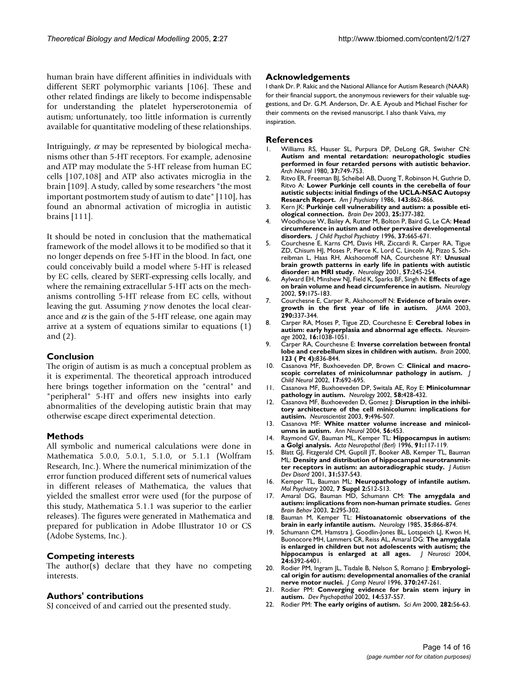human brain have different affinities in individuals with different SERT polymorphic variants [106]. These and other related findings are likely to become indispensable for understanding the platelet hyperserotonemia of autism; unfortunately, too little information is currently available for quantitative modeling of these relationships.

Intriguingly,  $\alpha$  may be represented by biological mechanisms other than 5-HT receptors. For example, adenosine and ATP may modulate the 5-HT release from human EC cells [107,108] and ATP also activates microglia in the brain [109]. A study, called by some researchers "the most important postmortem study of autism to date" [110], has found an abnormal activation of microglia in autistic brains [111].

It should be noted in conclusion that the mathematical framework of the model allows it to be modified so that it no longer depends on free 5-HT in the blood. In fact, one could conceivably build a model where 5-HT is released by EC cells, cleared by SERT-expressing cells locally, and where the remaining extracellular 5-HT acts on the mechanisms controlling 5-HT release from EC cells, without leaving the gut. Assuming  $\gamma$  now denotes the local clearance and  $\alpha$  is the gain of the 5-HT release, one again may arrive at a system of equations similar to equations (1) and (2).

#### **Conclusion**

The origin of autism is as much a conceptual problem as it is experimental. The theoretical approach introduced here brings together information on the "central" and "peripheral" 5-HT and offers new insights into early abnormalities of the developing autistic brain that may otherwise escape direct experimental detection.

## **Methods**

All symbolic and numerical calculations were done in Mathematica 5.0.0, 5.0.1, 5.1.0, or 5.1.1 (Wolfram Research, Inc.). Where the numerical minimization of the error function produced different sets of numerical values in different releases of Mathematica, the values that yielded the smallest error were used (for the purpose of this study, Mathematica 5.1.1 was superior to the earlier releases). The figures were generated in Mathematica and prepared for publication in Adobe Illustrator 10 or CS (Adobe Systems, Inc.).

## **Competing interests**

The author(s) declare that they have no competing interests.

#### **Authors' contributions**

SJ conceived of and carried out the presented study.

#### **Acknowledgements**

I thank Dr. P. Rakic and the National Alliance for Autism Research (NAAR) for their financial support, the anonymous reviewers for their valuable suggestions, and Dr. G.M. Anderson, Dr. A.E. Ayoub and Michael Fischer for their comments on the revised manuscript. I also thank Vaiva, my inspiration.

#### **References**

- 1. Williams RS, Hauser SL, Purpura DP, DeLong GR, Swisher CN: **Autism and mental retardation: neuropathologic studies [performed in four retarded persons with autistic behavior.](http://www.ncbi.nlm.nih.gov/entrez/query.fcgi?cmd=Retrieve&db=PubMed&dopt=Abstract&list_uids=7447762)** *Arch Neurol* 1980, **37:**749-753.
- 2. Ritvo ER, Freeman BJ, Scheibel AB, Duong T, Robinson H, Guthrie D, Ritvo A: **[Lower Purkinje cell counts in the cerebella of four](http://www.ncbi.nlm.nih.gov/entrez/query.fcgi?cmd=Retrieve&db=PubMed&dopt=Abstract&list_uids=3717426) [autistic subjects: initial findings of the UCLA-NSAC Autopsy](http://www.ncbi.nlm.nih.gov/entrez/query.fcgi?cmd=Retrieve&db=PubMed&dopt=Abstract&list_uids=3717426) [Research Report.](http://www.ncbi.nlm.nih.gov/entrez/query.fcgi?cmd=Retrieve&db=PubMed&dopt=Abstract&list_uids=3717426)** *Am J Psychiatry* 1986, **143:**862-866.
- 3. Kern JK: **[Purkinje cell vulnerability and autism: a possible eti](http://www.ncbi.nlm.nih.gov/entrez/query.fcgi?cmd=Retrieve&db=PubMed&dopt=Abstract&list_uids=12907269)[ological connection.](http://www.ncbi.nlm.nih.gov/entrez/query.fcgi?cmd=Retrieve&db=PubMed&dopt=Abstract&list_uids=12907269)** *Brain Dev* 2003, **25:**377-382.
- 4. Woodhouse W, Bailey A, Rutter M, Bolton P, Baird G, Le CA: **[Head](http://www.ncbi.nlm.nih.gov/entrez/query.fcgi?cmd=Retrieve&db=PubMed&dopt=Abstract&list_uids=8894947) [circumference in autism and other pervasive developmental](http://www.ncbi.nlm.nih.gov/entrez/query.fcgi?cmd=Retrieve&db=PubMed&dopt=Abstract&list_uids=8894947) [disorders.](http://www.ncbi.nlm.nih.gov/entrez/query.fcgi?cmd=Retrieve&db=PubMed&dopt=Abstract&list_uids=8894947)** *J Child Psychol Psychiatry* 1996, **37:**665-671.
- 5. Courchesne E, Karns CM, Davis HR, Ziccardi R, Carper RA, Tigue ZD, Chisum HJ, Moses P, Pierce K, Lord C, Lincoln AJ, Pizzo S, Schreibman L, Haas RH, Akshoomoff NA, Courchesne RY: **[Unusual](http://www.ncbi.nlm.nih.gov/entrez/query.fcgi?cmd=Retrieve&db=PubMed&dopt=Abstract&list_uids=11468308) [brain growth patterns in early life in patients with autistic](http://www.ncbi.nlm.nih.gov/entrez/query.fcgi?cmd=Retrieve&db=PubMed&dopt=Abstract&list_uids=11468308) [disorder: an MRI study.](http://www.ncbi.nlm.nih.gov/entrez/query.fcgi?cmd=Retrieve&db=PubMed&dopt=Abstract&list_uids=11468308)** *Neurology* 2001, **57:**245-254.
- 6. Aylward EH, Minshew NJ, Field K, Sparks BF, Singh N: **[Effects of age](http://www.ncbi.nlm.nih.gov/entrez/query.fcgi?cmd=Retrieve&db=PubMed&dopt=Abstract&list_uids=12136053) [on brain volume and head circumference in autism.](http://www.ncbi.nlm.nih.gov/entrez/query.fcgi?cmd=Retrieve&db=PubMed&dopt=Abstract&list_uids=12136053)** *Neurology* 2002, **59:**175-183.
- 7. Courchesne E, Carper R, Akshoomoff N: **[Evidence of brain over](http://www.ncbi.nlm.nih.gov/entrez/query.fcgi?cmd=Retrieve&db=PubMed&dopt=Abstract&list_uids=12865374)[growth in the first year of life in autism.](http://www.ncbi.nlm.nih.gov/entrez/query.fcgi?cmd=Retrieve&db=PubMed&dopt=Abstract&list_uids=12865374)** *JAMA* 2003, **290:**337-344.
- 8. Carper RA, Moses P, Tigue ZD, Courchesne E: **[Cerebral lobes in](http://www.ncbi.nlm.nih.gov/entrez/query.fcgi?cmd=Retrieve&db=PubMed&dopt=Abstract&list_uids=12202091) [autism: early hyperplasia and abnormal age effects.](http://www.ncbi.nlm.nih.gov/entrez/query.fcgi?cmd=Retrieve&db=PubMed&dopt=Abstract&list_uids=12202091)** *Neuroimage* 2002, **16:**1038-1051.
- 9. Carper RA, Courchesne E: **[Inverse correlation between frontal](http://www.ncbi.nlm.nih.gov/entrez/query.fcgi?cmd=Retrieve&db=PubMed&dopt=Abstract&list_uids=10734014) [lobe and cerebellum sizes in children with autism.](http://www.ncbi.nlm.nih.gov/entrez/query.fcgi?cmd=Retrieve&db=PubMed&dopt=Abstract&list_uids=10734014)** *Brain* 2000, **123 ( Pt 4):**836-844.
- 10. Casanova MF, Buxhoeveden DP, Brown C: **[Clinical and macro](http://www.ncbi.nlm.nih.gov/entrez/query.fcgi?cmd=Retrieve&db=PubMed&dopt=Abstract&list_uids=12503647)[scopic correlates of minicolumnar pathology in autism.](http://www.ncbi.nlm.nih.gov/entrez/query.fcgi?cmd=Retrieve&db=PubMed&dopt=Abstract&list_uids=12503647)** *J Child Neurol* 2002, **17:**692-695.
- 11. Casanova MF, Buxhoeveden DP, Switala AE, Roy E: **[Minicolumnar](http://www.ncbi.nlm.nih.gov/entrez/query.fcgi?cmd=Retrieve&db=PubMed&dopt=Abstract&list_uids=11839843) [pathology in autism.](http://www.ncbi.nlm.nih.gov/entrez/query.fcgi?cmd=Retrieve&db=PubMed&dopt=Abstract&list_uids=11839843)** *Neurology* 2002, **58:**428-432.
- 12. Casanova MF, Buxhoeveden D, Gomez J: **[Disruption in the inhibi](http://www.ncbi.nlm.nih.gov/entrez/query.fcgi?cmd=Retrieve&db=PubMed&dopt=Abstract&list_uids=14678582)[tory architecture of the cell minicolumn: implications for](http://www.ncbi.nlm.nih.gov/entrez/query.fcgi?cmd=Retrieve&db=PubMed&dopt=Abstract&list_uids=14678582) [autisim.](http://www.ncbi.nlm.nih.gov/entrez/query.fcgi?cmd=Retrieve&db=PubMed&dopt=Abstract&list_uids=14678582)** *Neuroscientist* 2003, **9:**496-507.
- 13. Casanova MF: **[White matter volume increase and minicol](http://www.ncbi.nlm.nih.gov/entrez/query.fcgi?cmd=Retrieve&db=PubMed&dopt=Abstract&list_uids=15349878)[umns in autism.](http://www.ncbi.nlm.nih.gov/entrez/query.fcgi?cmd=Retrieve&db=PubMed&dopt=Abstract&list_uids=15349878)** *Ann Neurol* 2004, **56:**453.
- 14. Raymond GV, Bauman ML, Kemper TL: **[Hippocampus in autism:](http://www.ncbi.nlm.nih.gov/entrez/query.fcgi?cmd=Retrieve&db=PubMed&dopt=Abstract&list_uids=8773156) [a Golgi analysis.](http://www.ncbi.nlm.nih.gov/entrez/query.fcgi?cmd=Retrieve&db=PubMed&dopt=Abstract&list_uids=8773156)** *Acta Neuropathol (Berl)* 1996, **91:**117-119.
- 15. Blatt GJ, Fitzgerald CM, Guptill JT, Booker AB, Kemper TL, Bauman ML: **[Density and distribution of hippocampal neurotransmit](http://www.ncbi.nlm.nih.gov/entrez/query.fcgi?cmd=Retrieve&db=PubMed&dopt=Abstract&list_uids=11814263)[ter receptors in autism: an autoradiographic study.](http://www.ncbi.nlm.nih.gov/entrez/query.fcgi?cmd=Retrieve&db=PubMed&dopt=Abstract&list_uids=11814263)** *J Autism Dev Disord* 2001, **31:**537-543.
- 16. Kemper TL, Bauman ML: **[Neuropathology of infantile autism.](http://www.ncbi.nlm.nih.gov/entrez/query.fcgi?cmd=Retrieve&db=PubMed&dopt=Abstract&list_uids=12142934)** *Mol Psychiatry* 2002, **7 Suppl 2:**S12-S13.
- 17. Amaral DG, Bauman MD, Schumann CM: **[The amygdala and](http://www.ncbi.nlm.nih.gov/entrez/query.fcgi?cmd=Retrieve&db=PubMed&dopt=Abstract&list_uids=14606694) [autism: implications from non-human primate studies.](http://www.ncbi.nlm.nih.gov/entrez/query.fcgi?cmd=Retrieve&db=PubMed&dopt=Abstract&list_uids=14606694)** *Genes Brain Behav* 2003, **2:**295-302.
- 18. Bauman M, Kemper TL: **[Histoanatomic observations of the](http://www.ncbi.nlm.nih.gov/entrez/query.fcgi?cmd=Retrieve&db=PubMed&dopt=Abstract&list_uids=4000488) [brain in early infantile autism.](http://www.ncbi.nlm.nih.gov/entrez/query.fcgi?cmd=Retrieve&db=PubMed&dopt=Abstract&list_uids=4000488)** *Neurology* 1985, **35:**866-874.
- 19. Schumann CM, Hamstra J, Goodlin-Jones BL, Lotspeich LJ, Kwon H, Buonocore MH, Lammers CR, Reiss AL, Amaral DG: **[The amygdala](http://www.ncbi.nlm.nih.gov/entrez/query.fcgi?cmd=Retrieve&db=PubMed&dopt=Abstract&list_uids=15254095) [is enlarged in children but not adolescents with autism; the](http://www.ncbi.nlm.nih.gov/entrez/query.fcgi?cmd=Retrieve&db=PubMed&dopt=Abstract&list_uids=15254095) [hippocampus is enlarged at all ages.](http://www.ncbi.nlm.nih.gov/entrez/query.fcgi?cmd=Retrieve&db=PubMed&dopt=Abstract&list_uids=15254095)** *J Neurosci* 2004, **24:**6392-6401.
- 20. Rodier PM, Ingram JL, Tisdale B, Nelson S, Romano J: **[Embryologi](http://www.ncbi.nlm.nih.gov/entrez/query.fcgi?cmd=Retrieve&db=PubMed&dopt=Abstract&list_uids=8808733)[cal origin for autism: developmental anomalies of the cranial](http://www.ncbi.nlm.nih.gov/entrez/query.fcgi?cmd=Retrieve&db=PubMed&dopt=Abstract&list_uids=8808733) [nerve motor nuclei.](http://www.ncbi.nlm.nih.gov/entrez/query.fcgi?cmd=Retrieve&db=PubMed&dopt=Abstract&list_uids=8808733)** *J Comp Neurol* 1996, **370:**247-261.
- 21. Rodier PM: **[Converging evidence for brain stem injury in](http://www.ncbi.nlm.nih.gov/entrez/query.fcgi?cmd=Retrieve&db=PubMed&dopt=Abstract&list_uids=12349873) [autism.](http://www.ncbi.nlm.nih.gov/entrez/query.fcgi?cmd=Retrieve&db=PubMed&dopt=Abstract&list_uids=12349873)** *Dev Psychopathol* 2002, **14:**537-557.
- 22. Rodier PM: **[The early origins of autism.](http://www.ncbi.nlm.nih.gov/entrez/query.fcgi?cmd=Retrieve&db=PubMed&dopt=Abstract&list_uids=10710787)** *Sci Am* 2000, **282:**56-63.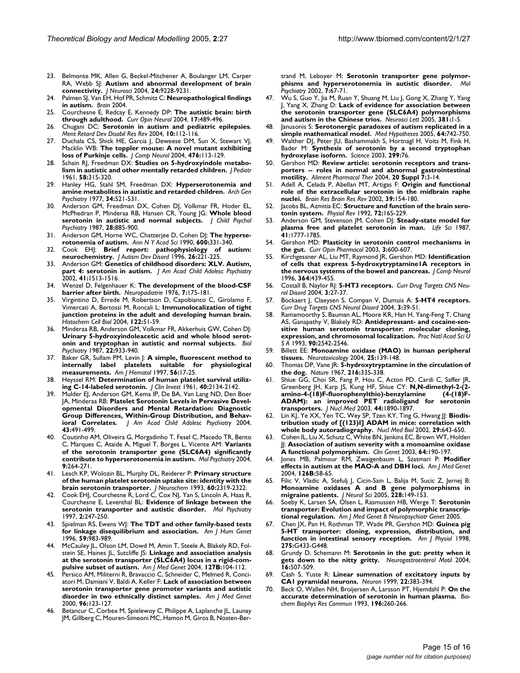- 23. Belmonte MK, Allen G, Beckel-Mitchener A, Boulanger LM, Carper RA, Webb SJ: **[Autism and abnormal development of brain](http://www.ncbi.nlm.nih.gov/entrez/query.fcgi?cmd=Retrieve&db=PubMed&dopt=Abstract&list_uids=15496656) [connectivity.](http://www.ncbi.nlm.nih.gov/entrez/query.fcgi?cmd=Retrieve&db=PubMed&dopt=Abstract&list_uids=15496656)** *J Neurosci* 2004, **24:**9228-9231.
- 24. Palmen SJ, Van EH, Hof PR, Schmitz C: **Neuropathological findings in autism.** *Brain* 2004.
- 25. Courchesne E, Redcay E, Kennedy DP: **[The autistic brain: birth](http://www.ncbi.nlm.nih.gov/entrez/query.fcgi?cmd=Retrieve&db=PubMed&dopt=Abstract&list_uids=15247547) [through adulthood.](http://www.ncbi.nlm.nih.gov/entrez/query.fcgi?cmd=Retrieve&db=PubMed&dopt=Abstract&list_uids=15247547)** *Curr Opin Neurol* 2004, **17:**489-496.
- 26. Chugani DC: **[Serotonin in autism and pediatric epilepsies.](http://www.ncbi.nlm.nih.gov/entrez/query.fcgi?cmd=Retrieve&db=PubMed&dopt=Abstract&list_uids=15362166)** *Ment Retard Dev Disabil Res Rev* 2004, **10:**112-116.
- 27. Duchala CS, Shick HE, Garcia J, Deweese DM, Sun X, Stewart VJ, Macklin WB: **[The toppler mouse: A novel mutant exhibiting](http://www.ncbi.nlm.nih.gov/entrez/query.fcgi?cmd=Retrieve&db=PubMed&dopt=Abstract&list_uids=15248193) [loss of Purkinje cells.](http://www.ncbi.nlm.nih.gov/entrez/query.fcgi?cmd=Retrieve&db=PubMed&dopt=Abstract&list_uids=15248193)** *J Comp Neurol* 2004, **476:**113-129.
- 28. Schain RJ, Freedman DX: **[Studies on 5-hydroxyindole metabo](http://www.ncbi.nlm.nih.gov/entrez/query.fcgi?cmd=Retrieve&db=PubMed&dopt=Abstract&list_uids=13747230)[lism in autistic and other mentally retarded children.](http://www.ncbi.nlm.nih.gov/entrez/query.fcgi?cmd=Retrieve&db=PubMed&dopt=Abstract&list_uids=13747230)** *J Pediatr* 1961, **58:**315-320.
- 29. Hanley HG, Stahl SM, Freedman DX: **[Hyperserotonemia and](http://www.ncbi.nlm.nih.gov/entrez/query.fcgi?cmd=Retrieve&db=PubMed&dopt=Abstract&list_uids=860890) [amine metabolites in autistic and retarded children.](http://www.ncbi.nlm.nih.gov/entrez/query.fcgi?cmd=Retrieve&db=PubMed&dopt=Abstract&list_uids=860890)** *Arch Gen Psychiatry* 1977, **34:**521-531.
- 30. Anderson GM, Freedman DX, Cohen DJ, Volkmar FR, Hoder EL, McPhedran P, Minderaa RB, Hansen CR, Young JG: **[Whole blood](http://www.ncbi.nlm.nih.gov/entrez/query.fcgi?cmd=Retrieve&db=PubMed&dopt=Abstract&list_uids=3436995) [serotonin in autistic and normal subjects.](http://www.ncbi.nlm.nih.gov/entrez/query.fcgi?cmd=Retrieve&db=PubMed&dopt=Abstract&list_uids=3436995)** *J Child Psychol Psychiatry* 1987, **28:**885-900.
- 31. Anderson GM, Horne WC, Chatterjee D, Cohen DJ: **[The hyperse](http://www.ncbi.nlm.nih.gov/entrez/query.fcgi?cmd=Retrieve&db=PubMed&dopt=Abstract&list_uids=2252319)[rotonemia of autism.](http://www.ncbi.nlm.nih.gov/entrez/query.fcgi?cmd=Retrieve&db=PubMed&dopt=Abstract&list_uids=2252319)** *Ann N Y Acad Sci* 1990, **600:**331-340.
- 32. Cook EHJ: **[Brief report: pathophysiology of autism:](http://www.ncbi.nlm.nih.gov/entrez/query.fcgi?cmd=Retrieve&db=PubMed&dopt=Abstract&list_uids=8744489) [neurochemistry.](http://www.ncbi.nlm.nih.gov/entrez/query.fcgi?cmd=Retrieve&db=PubMed&dopt=Abstract&list_uids=8744489)** *J Autism Dev Disord* 1996, **26:**221-225.
- 33. Anderson GM: **[Genetics of childhood disorders: XLV. Autism,](http://www.ncbi.nlm.nih.gov/entrez/query.fcgi?cmd=Retrieve&db=PubMed&dopt=Abstract&list_uids=12447040) [part 4: serotonin in autism.](http://www.ncbi.nlm.nih.gov/entrez/query.fcgi?cmd=Retrieve&db=PubMed&dopt=Abstract&list_uids=12447040)** *J Am Acad Child Adolesc Psychiatry* 2002, **41:**1513-1516.
- 34. Wenzel D, Felgenhauer K: **[The development of the blood-CSF](http://www.ncbi.nlm.nih.gov/entrez/query.fcgi?cmd=Retrieve&db=PubMed&dopt=Abstract&list_uids=60727) [barrier after birth.](http://www.ncbi.nlm.nih.gov/entrez/query.fcgi?cmd=Retrieve&db=PubMed&dopt=Abstract&list_uids=60727)** *Neuropadiatrie* 1976, **7:**175-181.
- 35. Virgintino D, Errede M, Robertson D, Capobianco C, Girolamo F, Vimercati A, Bertossi M, Roncali L: **[Immunolocalization of tight](http://www.ncbi.nlm.nih.gov/entrez/query.fcgi?cmd=Retrieve&db=PubMed&dopt=Abstract&list_uids=15221411) [junction proteins in the adult and developing human brain.](http://www.ncbi.nlm.nih.gov/entrez/query.fcgi?cmd=Retrieve&db=PubMed&dopt=Abstract&list_uids=15221411)** *Histochem Cell Biol* 2004, **122:**51-59.
- 36. Minderaa RB, Anderson GM, Volkmar FR, Akkerhuis GW, Cohen DJ: **[Urinary 5-hydroxyindoleacetic acid and whole blood serot](http://www.ncbi.nlm.nih.gov/entrez/query.fcgi?cmd=Retrieve&db=PubMed&dopt=Abstract&list_uids=2440483)[onin and tryptophan in autistic and normal subjects.](http://www.ncbi.nlm.nih.gov/entrez/query.fcgi?cmd=Retrieve&db=PubMed&dopt=Abstract&list_uids=2440483)** *Biol Psychiatry* 1987, **22:**933-940.
- 37. Baker GR, Sullam PM, Levin J: **[A simple, fluorescent method to](http://www.ncbi.nlm.nih.gov/entrez/query.fcgi?cmd=Retrieve&db=PubMed&dopt=Abstract&list_uids=9298862) [internally label platelets suitable for physiological](http://www.ncbi.nlm.nih.gov/entrez/query.fcgi?cmd=Retrieve&db=PubMed&dopt=Abstract&list_uids=9298862) [measurements.](http://www.ncbi.nlm.nih.gov/entrez/query.fcgi?cmd=Retrieve&db=PubMed&dopt=Abstract&list_uids=9298862)** *Am J Hematol* 1997, **56:**17-25.
- 38. Heyssel RM: **[Determination of human platelet survival utiliz](http://www.ncbi.nlm.nih.gov/entrez/query.fcgi?cmd=Retrieve&db=PubMed&dopt=Abstract&list_uids=13907152)[ing C-14-labeled serotonin.](http://www.ncbi.nlm.nih.gov/entrez/query.fcgi?cmd=Retrieve&db=PubMed&dopt=Abstract&list_uids=13907152)** *J Clin Invest* 1961, **40:**2134-2142.
- 39. Mulder EJ, Anderson GM, Kema IP, De BA, Van Lang ND, Den Boer JA, Minderaa RB: **[Platelet Serotonin Levels in Pervasive Devel](http://www.ncbi.nlm.nih.gov/entrez/query.fcgi?cmd=Retrieve&db=PubMed&dopt=Abstract&list_uids=15187810)[opmental Disorders and Mental Retardation: Diagnostic](http://www.ncbi.nlm.nih.gov/entrez/query.fcgi?cmd=Retrieve&db=PubMed&dopt=Abstract&list_uids=15187810) Group Differences, Within-Group Distribution, and Behav[ioral Correlates.](http://www.ncbi.nlm.nih.gov/entrez/query.fcgi?cmd=Retrieve&db=PubMed&dopt=Abstract&list_uids=15187810)** *J Am Acad Child Adolesc Psychiatry* 2004, **43:**491-499.
- Coutinho AM, Oliveira G, Morgadinho T, Fesel C, Macedo TR, Bento C, Marques C, Ataide A, Miguel T, Borges L, Vicente AM: **[Variants](http://www.ncbi.nlm.nih.gov/entrez/query.fcgi?cmd=Retrieve&db=PubMed&dopt=Abstract&list_uids=15094787) [of the serotonin transporter gene \(SLC6A4\) significantly](http://www.ncbi.nlm.nih.gov/entrez/query.fcgi?cmd=Retrieve&db=PubMed&dopt=Abstract&list_uids=15094787) [contribute to hyperserotonemia in autism.](http://www.ncbi.nlm.nih.gov/entrez/query.fcgi?cmd=Retrieve&db=PubMed&dopt=Abstract&list_uids=15094787)** *Mol Psychiatry* 2004, **9:**264-271.
- 41. Lesch KP, Wolozin BL, Murphy DL, Reiderer P: **[Primary structure](http://www.ncbi.nlm.nih.gov/entrez/query.fcgi?cmd=Retrieve&db=PubMed&dopt=Abstract&list_uids=7684072) [of the human platelet serotonin uptake site: identity with the](http://www.ncbi.nlm.nih.gov/entrez/query.fcgi?cmd=Retrieve&db=PubMed&dopt=Abstract&list_uids=7684072) [brain serotonin transporter.](http://www.ncbi.nlm.nih.gov/entrez/query.fcgi?cmd=Retrieve&db=PubMed&dopt=Abstract&list_uids=7684072)** *J Neurochem* 1993, **60:**2319-2322.
- 42. Cook EHJ, Courchesne R, Lord C, Cox NJ, Yan S, Lincoln A, Haas R, Courchesne E, Leventhal BL: **[Evidence of linkage between the](http://www.ncbi.nlm.nih.gov/entrez/query.fcgi?cmd=Retrieve&db=PubMed&dopt=Abstract&list_uids=9152989) [serotonin transporter and autistic disorder.](http://www.ncbi.nlm.nih.gov/entrez/query.fcgi?cmd=Retrieve&db=PubMed&dopt=Abstract&list_uids=9152989)** *Mol Psychiatry* 1997, **2:**247-250.
- 43. Spielman RS, Ewens WJ: **[The TDT and other family-based tests](http://www.ncbi.nlm.nih.gov/entrez/query.fcgi?cmd=Retrieve&db=PubMed&dopt=Abstract&list_uids=8900224) [for linkage disequilibrium and association.](http://www.ncbi.nlm.nih.gov/entrez/query.fcgi?cmd=Retrieve&db=PubMed&dopt=Abstract&list_uids=8900224)** *Am J Hum Genet* 1996, **59:**983-989.
- 44. McCauley JL, Olson LM, Dowd M, Amin T, Steele A, Blakely RD, Folstein SE, Haines JL, Sutcliffe JS: **Linkage and association analysis at the serotonin transporter (SLC6A4) locus in a rigid-compulsive subset of autism.** *Am J Med Genet* 2004, **127B:**104-112.
- 45. Persico AM, Militerni R, Bravaccio C, Schneider C, Melmed R, Conciatori M, Damiani V, Baldi A, Keller F: **[Lack of association between](http://www.ncbi.nlm.nih.gov/entrez/query.fcgi?cmd=Retrieve&db=PubMed&dopt=Abstract&list_uids=10686565) [serotonin transporter gene promoter variants and autistic](http://www.ncbi.nlm.nih.gov/entrez/query.fcgi?cmd=Retrieve&db=PubMed&dopt=Abstract&list_uids=10686565) [disorder in two ethnically distinct samples.](http://www.ncbi.nlm.nih.gov/entrez/query.fcgi?cmd=Retrieve&db=PubMed&dopt=Abstract&list_uids=10686565)** *Am J Med Genet* 2000, **96:**123-127.
- 46. Betancur C, Corbex M, Spielewoy C, Philippe A, Laplanche JL, Launay JM, Gillberg C, Mouren-Simeoni MC, Hamon M, Giros B, Nosten-Ber-

trand M, Leboyer M: **[Serotonin transporter gene polymor](http://www.ncbi.nlm.nih.gov/entrez/query.fcgi?cmd=Retrieve&db=PubMed&dopt=Abstract&list_uids=11803447)[phisms and hyperserotonemia in autistic disorder.](http://www.ncbi.nlm.nih.gov/entrez/query.fcgi?cmd=Retrieve&db=PubMed&dopt=Abstract&list_uids=11803447)** *Mol Psychiatry* 2002, **7:**67-71.

- 47. Wu S, Guo Y, Jia M, Ruan Y, Shuang M, Liu J, Gong X, Zhang Y, Yang J, Yang X, Zhang D: **[Lack of evidence for association between](http://www.ncbi.nlm.nih.gov/entrez/query.fcgi?cmd=Retrieve&db=PubMed&dopt=Abstract&list_uids=15882779) [the serotonin transporter gene \(SLC6A4\) polymorphisms](http://www.ncbi.nlm.nih.gov/entrez/query.fcgi?cmd=Retrieve&db=PubMed&dopt=Abstract&list_uids=15882779) [and autism in the Chinese trios.](http://www.ncbi.nlm.nih.gov/entrez/query.fcgi?cmd=Retrieve&db=PubMed&dopt=Abstract&list_uids=15882779)** *Neurosci Lett* 2005, **381:**1-5.
- 48. Janusonis S: **[Serotonergic paradoxes of autism replicated in a](http://www.ncbi.nlm.nih.gov/entrez/query.fcgi?cmd=Retrieve&db=PubMed&dopt=Abstract&list_uids=15694691) [simple mathematical model.](http://www.ncbi.nlm.nih.gov/entrez/query.fcgi?cmd=Retrieve&db=PubMed&dopt=Abstract&list_uids=15694691)** *Med Hypotheses* 2005, **64:**742-750.
- 49. Walther DJ, Peter JU, Bashammakh S, Hortnagl H, Voits M, Fink H, Bader M: **[Synthesis of serotonin by a second tryptophan](http://www.ncbi.nlm.nih.gov/entrez/query.fcgi?cmd=Retrieve&db=PubMed&dopt=Abstract&list_uids=12511643) [hydroxylase isoform.](http://www.ncbi.nlm.nih.gov/entrez/query.fcgi?cmd=Retrieve&db=PubMed&dopt=Abstract&list_uids=12511643)** *Science* 2003, **299:**76.
- 50. Gershon MD: **[Review article: serotonin receptors and trans](http://www.ncbi.nlm.nih.gov/entrez/query.fcgi?cmd=Retrieve&db=PubMed&dopt=Abstract&list_uids=15521849)[porters -- roles in normal and abnormal gastrointestinal](http://www.ncbi.nlm.nih.gov/entrez/query.fcgi?cmd=Retrieve&db=PubMed&dopt=Abstract&list_uids=15521849) [motility.](http://www.ncbi.nlm.nih.gov/entrez/query.fcgi?cmd=Retrieve&db=PubMed&dopt=Abstract&list_uids=15521849)** *Aliment Pharmacol Ther* 2004, **20 Suppl 7:**3-14.
- 51. Adell A, Celada P, Abellan MT, Artigas F: **[Origin and functional](http://www.ncbi.nlm.nih.gov/entrez/query.fcgi?cmd=Retrieve&db=PubMed&dopt=Abstract&list_uids=12423765) [role of the extracellular serotonin in the midbrain raphe](http://www.ncbi.nlm.nih.gov/entrez/query.fcgi?cmd=Retrieve&db=PubMed&dopt=Abstract&list_uids=12423765) [nuclei.](http://www.ncbi.nlm.nih.gov/entrez/query.fcgi?cmd=Retrieve&db=PubMed&dopt=Abstract&list_uids=12423765)** *Brain Res Brain Res Rev* 2002, **39:**154-180.
- 52. Jacobs BL, Azmitia EC: **[Structure and function of the brain sero](http://www.ncbi.nlm.nih.gov/entrez/query.fcgi?cmd=Retrieve&db=PubMed&dopt=Abstract&list_uids=1731370)[tonin system.](http://www.ncbi.nlm.nih.gov/entrez/query.fcgi?cmd=Retrieve&db=PubMed&dopt=Abstract&list_uids=1731370)** *Physiol Rev* 1992, **72:**165-229.
- 53. Anderson GM, Stevenson JM, Cohen DJ: **[Steady-state model for](http://www.ncbi.nlm.nih.gov/entrez/query.fcgi?cmd=Retrieve&db=PubMed&dopt=Abstract&list_uids=3657383) [plasma free and platelet serotonin in man.](http://www.ncbi.nlm.nih.gov/entrez/query.fcgi?cmd=Retrieve&db=PubMed&dopt=Abstract&list_uids=3657383)** *Life Sci* 1987, **41:**1777-1785.
- 54. Gershon MD: **[Plasticity in serotonin control mechanisms in](http://www.ncbi.nlm.nih.gov/entrez/query.fcgi?cmd=Retrieve&db=PubMed&dopt=Abstract&list_uids=14644011) [the gut.](http://www.ncbi.nlm.nih.gov/entrez/query.fcgi?cmd=Retrieve&db=PubMed&dopt=Abstract&list_uids=14644011)** *Curr Opin Pharmacol* 2003, **3:**600-607.
- 55. Kirchgessner AL, Liu MT, Raymond JR, Gershon MD: **[Identification](http://www.ncbi.nlm.nih.gov/entrez/query.fcgi?cmd=Retrieve&db=PubMed&dopt=Abstract&list_uids=8820876) [of cells that express 5-hydroxytryptamine1A receptors in](http://www.ncbi.nlm.nih.gov/entrez/query.fcgi?cmd=Retrieve&db=PubMed&dopt=Abstract&list_uids=8820876) [the nervous systems of the bowel and pancreas.](http://www.ncbi.nlm.nih.gov/entrez/query.fcgi?cmd=Retrieve&db=PubMed&dopt=Abstract&list_uids=8820876)** *J Comp Neurol* 1996, **364:**439-455.
- 56. Costall B, Naylor RJ: **[5-HT3 receptors.](http://www.ncbi.nlm.nih.gov/entrez/query.fcgi?cmd=Retrieve&db=PubMed&dopt=Abstract&list_uids=14965242)** *Curr Drug Targets CNS Neurol Disord* 2004, **3:**27-37.
- 57. Bockaert J, Claeysen S, Compan V, Dumuis A: **[5-HT4 receptors.](http://www.ncbi.nlm.nih.gov/entrez/query.fcgi?cmd=Retrieve&db=PubMed&dopt=Abstract&list_uids=14965243)** *Curr Drug Targets CNS Neurol Disord* 2004, **3:**39-51.
- 58. Ramamoorthy S, Bauman AL, Moore KR, Han H, Yang-Feng T, Chang AS, Ganapathy V, Blakely RD: **[Antidepressant- and cocaine-sen](http://www.ncbi.nlm.nih.gov/entrez/query.fcgi?cmd=Retrieve&db=PubMed&dopt=Abstract&list_uids=7681602)[sitive human serotonin transporter: molecular cloning,](http://www.ncbi.nlm.nih.gov/entrez/query.fcgi?cmd=Retrieve&db=PubMed&dopt=Abstract&list_uids=7681602) [expression, and chromosomal localization.](http://www.ncbi.nlm.nih.gov/entrez/query.fcgi?cmd=Retrieve&db=PubMed&dopt=Abstract&list_uids=7681602)** *Proc Natl Acad Sci U S A* 1993, **90:**2542-2546.
- 59. Billett EE: **[Monoamine oxidase \(MAO\) in human peripheral](http://www.ncbi.nlm.nih.gov/entrez/query.fcgi?cmd=Retrieve&db=PubMed&dopt=Abstract&list_uids=14697888) [tissues.](http://www.ncbi.nlm.nih.gov/entrez/query.fcgi?cmd=Retrieve&db=PubMed&dopt=Abstract&list_uids=14697888)** *Neurotoxicology* 2004, **25:**139-148.
- 60. Thomas DP, Vane JR: **[5-hydroxytryptamine in the circulation of](http://www.ncbi.nlm.nih.gov/entrez/query.fcgi?cmd=Retrieve&db=PubMed&dopt=Abstract&list_uids=6053807) [the dog.](http://www.ncbi.nlm.nih.gov/entrez/query.fcgi?cmd=Retrieve&db=PubMed&dopt=Abstract&list_uids=6053807)** *Nature* 1967, **216:**335-338.
- 61. Shiue GG, Choi SR, Fang P, Hou C, Acton PD, Cardi C, Saffer JR, Greenberg JH, Karp JS, Kung HF, Shiue CY: **[N,N-dimethyl-2-\(2](http://www.ncbi.nlm.nih.gov/entrez/query.fcgi?cmd=Retrieve&db=PubMed&dopt=Abstract&list_uids=14660713)** amino-4-(18)F-fluorophenylthio)-benzylamine **ADAM): an improved PET radioligand for serotonin [transporters.](http://www.ncbi.nlm.nih.gov/entrez/query.fcgi?cmd=Retrieve&db=PubMed&dopt=Abstract&list_uids=14660713)** *J Nucl Med* 2003, **44:**1890-1897.
- 62. Lin KJ, Ye XX, Yen TC, Wey SP, Tzen KY, Ting G, Hwang JJ: **[Biodis](http://www.ncbi.nlm.nih.gov/entrez/query.fcgi?cmd=Retrieve&db=PubMed&dopt=Abstract&list_uids=12234588)[tribution study of \[\(123\)I\] ADAM in mice: correlation with](http://www.ncbi.nlm.nih.gov/entrez/query.fcgi?cmd=Retrieve&db=PubMed&dopt=Abstract&list_uids=12234588) [whole body autoradiography.](http://www.ncbi.nlm.nih.gov/entrez/query.fcgi?cmd=Retrieve&db=PubMed&dopt=Abstract&list_uids=12234588)** *Nucl Med Biol* 2002, **29:**643-650.
- 63. Cohen IL, Liu X, Schutz C, White BN, Jenkins EC, Brown WT, Holden JJ: **[Association of autism severity with a monoamine oxidase](http://www.ncbi.nlm.nih.gov/entrez/query.fcgi?cmd=Retrieve&db=PubMed&dopt=Abstract&list_uids=12919132) [A functional polymorphism.](http://www.ncbi.nlm.nih.gov/entrez/query.fcgi?cmd=Retrieve&db=PubMed&dopt=Abstract&list_uids=12919132)** *Clin Genet* 2003, **64:**190-197.
- 64. Jones MB, Palmour RM, Zwaigenbaum L, Szatmari P: **Modifier effects in autism at the MAO-A and DBH loci.** *Am J Med Genet* 2004, **126B:**58-65.
- 65. Filic V, Vladic A, Stefulj J, Cicin-Sain L, Balija M, Sucic Z, Jernej B: **[Monoamine oxidases A and B gene polymorphisms in](http://www.ncbi.nlm.nih.gov/entrez/query.fcgi?cmd=Retrieve&db=PubMed&dopt=Abstract&list_uids=15694196) [migraine patients.](http://www.ncbi.nlm.nih.gov/entrez/query.fcgi?cmd=Retrieve&db=PubMed&dopt=Abstract&list_uids=15694196)** *J Neurol Sci* 2005, **228:**149-153.
- 66. Soeby K, Larsen SA, Olsen L, Rasmussen HB, Werge T: **Serotonin transporter: Evolution and impact of polymorphic transcriptional regulation.** *Am J Med Genet B Neuropsychiatr Genet* 2005.
- 67. Chen JX, Pan H, Rothman TP, Wade PR, Gershon MD: **[Guinea pig](http://www.ncbi.nlm.nih.gov/entrez/query.fcgi?cmd=Retrieve&db=PubMed&dopt=Abstract&list_uids=9724254) [5-HT transporter: cloning, expression, distribution, and](http://www.ncbi.nlm.nih.gov/entrez/query.fcgi?cmd=Retrieve&db=PubMed&dopt=Abstract&list_uids=9724254) [function in intestinal sensory reception.](http://www.ncbi.nlm.nih.gov/entrez/query.fcgi?cmd=Retrieve&db=PubMed&dopt=Abstract&list_uids=9724254)** *Am J Physiol* 1998, **275:**G433-G448.
- 68. Grundy D, Schemann M: **[Serotonin in the gut: pretty when it](http://www.ncbi.nlm.nih.gov/entrez/query.fcgi?cmd=Retrieve&db=PubMed&dopt=Abstract&list_uids=15500506) [gets down to the nitty gritty.](http://www.ncbi.nlm.nih.gov/entrez/query.fcgi?cmd=Retrieve&db=PubMed&dopt=Abstract&list_uids=15500506)** *Neurogastroenterol Motil* 2004, **16:**507-509.
- 69. Cash S, Yuste R: **[Linear summation of excitatory inputs by](http://www.ncbi.nlm.nih.gov/entrez/query.fcgi?cmd=Retrieve&db=PubMed&dopt=Abstract&list_uids=10069343) [CA1 pyramidal neurons.](http://www.ncbi.nlm.nih.gov/entrez/query.fcgi?cmd=Retrieve&db=PubMed&dopt=Abstract&list_uids=10069343)** *Neuron* 1999, **22:**383-394.
- 70. Beck O, Wallen NH, Broijersen A, Larsson PT, Hjemdahl P: **[On the](http://www.ncbi.nlm.nih.gov/entrez/query.fcgi?cmd=Retrieve&db=PubMed&dopt=Abstract&list_uids=8216301) [accurate determination of serotonin in human plasma.](http://www.ncbi.nlm.nih.gov/entrez/query.fcgi?cmd=Retrieve&db=PubMed&dopt=Abstract&list_uids=8216301)** *Biochem Biophys Res Commun* 1993, **196:**260-266.